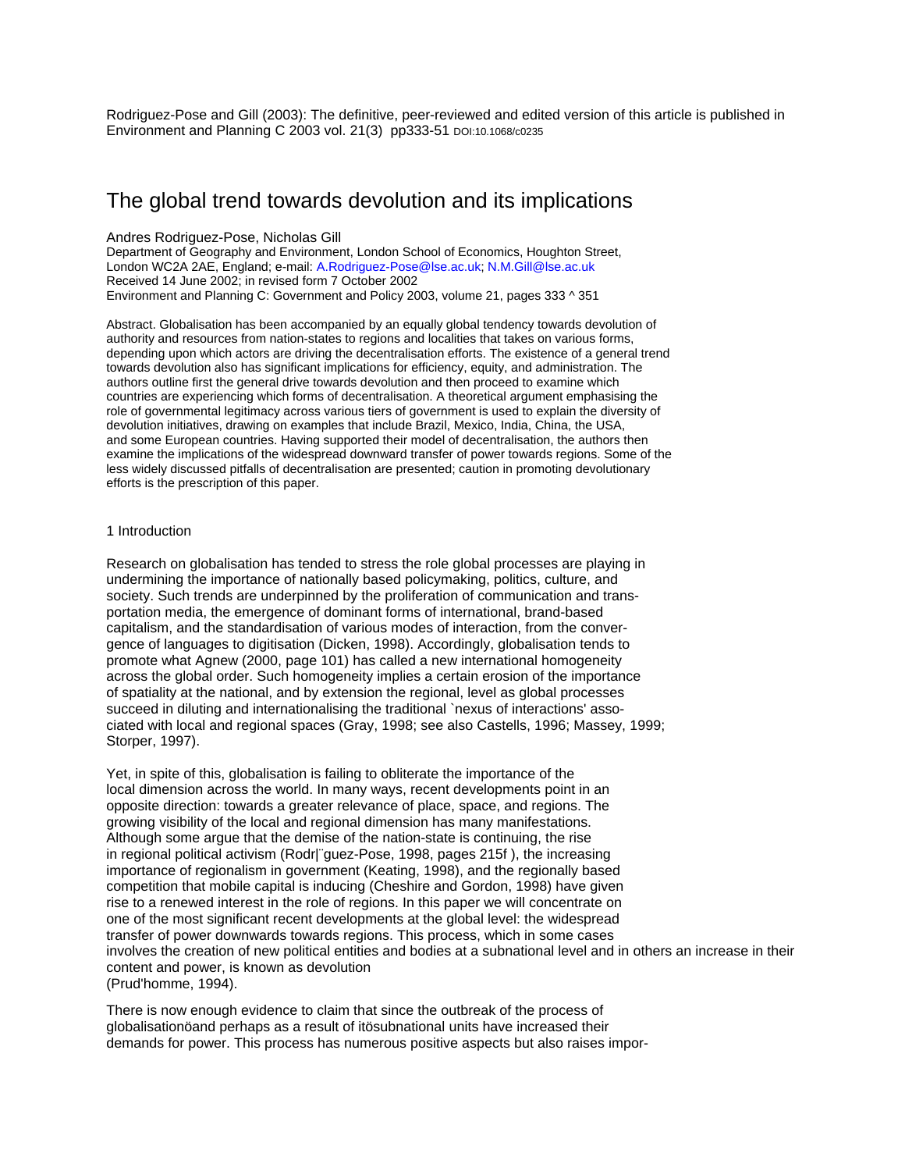Rodriguez-Pose and Gill (2003): The definitive, peer-reviewed and edited version of this article is published in Environment and Planning C 2003 vol. 21(3) pp333-51 DOI:10.1068/c0235

# The global trend towards devolution and its implications

### Andres Rodriguez-Pose, Nicholas Gill

Department of Geography and Environment, London School of Economics, Houghton Street, London WC2A 2AE, England; e-mail: A.Rodriguez-Pose@lse.ac.uk; N.M.Gill@lse.ac.uk Received 14 June 2002; in revised form 7 October 2002 Environment and Planning C: Government and Policy 2003, volume 21, pages 333 ^ 351

Abstract. Globalisation has been accompanied by an equally global tendency towards devolution of authority and resources from nation-states to regions and localities that takes on various forms, depending upon which actors are driving the decentralisation efforts. The existence of a general trend towards devolution also has significant implications for efficiency, equity, and administration. The authors outline first the general drive towards devolution and then proceed to examine which countries are experiencing which forms of decentralisation. A theoretical argument emphasising the role of governmental legitimacy across various tiers of government is used to explain the diversity of devolution initiatives, drawing on examples that include Brazil, Mexico, India, China, the USA, and some European countries. Having supported their model of decentralisation, the authors then examine the implications of the widespread downward transfer of power towards regions. Some of the less widely discussed pitfalls of decentralisation are presented; caution in promoting devolutionary efforts is the prescription of this paper.

#### 1 Introduction

Research on globalisation has tended to stress the role global processes are playing in undermining the importance of nationally based policymaking, politics, culture, and society. Such trends are underpinned by the proliferation of communication and transportation media, the emergence of dominant forms of international, brand-based capitalism, and the standardisation of various modes of interaction, from the convergence of languages to digitisation (Dicken, 1998). Accordingly, globalisation tends to promote what Agnew (2000, page 101) has called a new international homogeneity across the global order. Such homogeneity implies a certain erosion of the importance of spatiality at the national, and by extension the regional, level as global processes succeed in diluting and internationalising the traditional `nexus of interactions' associated with local and regional spaces (Gray, 1998; see also Castells, 1996; Massey, 1999; Storper, 1997).

Yet, in spite of this, globalisation is failing to obliterate the importance of the local dimension across the world. In many ways, recent developments point in an opposite direction: towards a greater relevance of place, space, and regions. The growing visibility of the local and regional dimension has many manifestations. Although some argue that the demise of the nation-state is continuing, the rise in regional political activism (Rodr|¨guez-Pose, 1998, pages 215f ), the increasing importance of regionalism in government (Keating, 1998), and the regionally based competition that mobile capital is inducing (Cheshire and Gordon, 1998) have given rise to a renewed interest in the role of regions. In this paper we will concentrate on one of the most significant recent developments at the global level: the widespread transfer of power downwards towards regions. This process, which in some cases involves the creation of new political entities and bodies at a subnational level and in others an increase in their content and power, is known as devolution (Prud'homme, 1994).

There is now enough evidence to claim that since the outbreak of the process of globalisationöand perhaps as a result of itösubnational units have increased their demands for power. This process has numerous positive aspects but also raises impor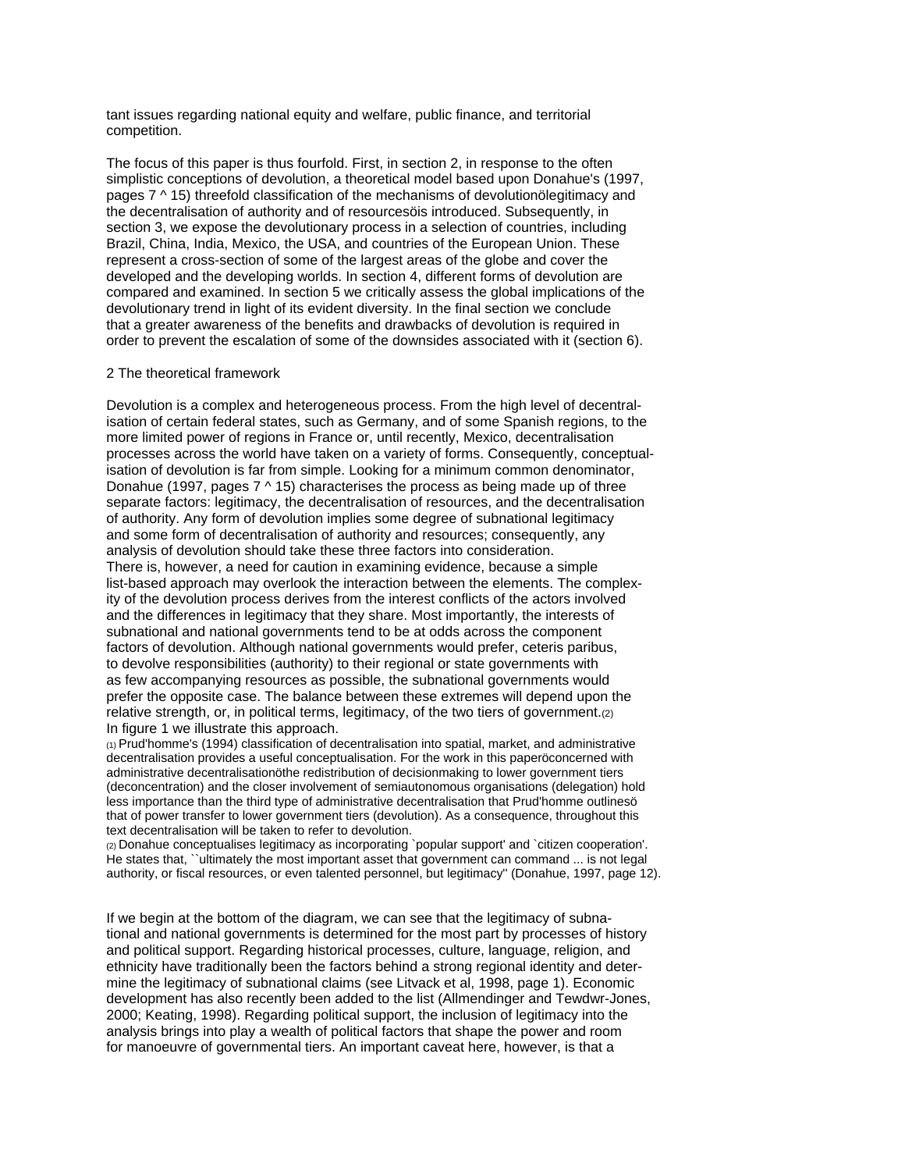tant issues regarding national equity and welfare, public finance, and territorial competition.

The focus of this paper is thus fourfold. First, in section 2, in response to the often simplistic conceptions of devolution, a theoretical model based upon Donahue's (1997, pages 7 ^ 15) threefold classification of the mechanisms of devolutionölegitimacy and the decentralisation of authority and of resourcesöis introduced. Subsequently, in section 3, we expose the devolutionary process in a selection of countries, including Brazil, China, India, Mexico, the USA, and countries of the European Union. These represent a cross-section of some of the largest areas of the globe and cover the developed and the developing worlds. In section 4, different forms of devolution are compared and examined. In section 5 we critically assess the global implications of the devolutionary trend in light of its evident diversity. In the final section we conclude that a greater awareness of the benefits and drawbacks of devolution is required in order to prevent the escalation of some of the downsides associated with it (section 6).

## 2 The theoretical framework

Devolution is a complex and heterogeneous process. From the high level of decentralisation of certain federal states, such as Germany, and of some Spanish regions, to the more limited power of regions in France or, until recently, Mexico, decentralisation processes across the world have taken on a variety of forms. Consequently, conceptualisation of devolution is far from simple. Looking for a minimum common denominator, Donahue (1997, pages  $7 \wedge 15$ ) characterises the process as being made up of three separate factors: legitimacy, the decentralisation of resources, and the decentralisation of authority. Any form of devolution implies some degree of subnational legitimacy and some form of decentralisation of authority and resources; consequently, any analysis of devolution should take these three factors into consideration. There is, however, a need for caution in examining evidence, because a simple list-based approach may overlook the interaction between the elements. The complexity of the devolution process derives from the interest conflicts of the actors involved and the differences in legitimacy that they share. Most importantly, the interests of subnational and national governments tend to be at odds across the component factors of devolution. Although national governments would prefer, ceteris paribus, to devolve responsibilities (authority) to their regional or state governments with as few accompanying resources as possible, the subnational governments would prefer the opposite case. The balance between these extremes will depend upon the relative strength, or, in political terms, legitimacy, of the two tiers of government.(2) In figure 1 we illustrate this approach.

(1) Prud'homme's (1994) classification of decentralisation into spatial, market, and administrative decentralisation provides a useful conceptualisation. For the work in this paperöconcerned with administrative decentralisationöthe redistribution of decisionmaking to lower government tiers (deconcentration) and the closer involvement of semiautonomous organisations (delegation) hold less importance than the third type of administrative decentralisation that Prud'homme outlinesö that of power transfer to lower government tiers (devolution). As a consequence, throughout this text decentralisation will be taken to refer to devolution.

(2) Donahue conceptualises legitimacy as incorporating `popular support' and `citizen cooperation'. He states that, ``ultimately the most important asset that government can command ... is not legal authority, or fiscal resources, or even talented personnel, but legitimacy'' (Donahue, 1997, page 12).

If we begin at the bottom of the diagram, we can see that the legitimacy of subnational and national governments is determined for the most part by processes of history and political support. Regarding historical processes, culture, language, religion, and ethnicity have traditionally been the factors behind a strong regional identity and determine the legitimacy of subnational claims (see Litvack et al, 1998, page 1). Economic development has also recently been added to the list (Allmendinger and Tewdwr-Jones, 2000; Keating, 1998). Regarding political support, the inclusion of legitimacy into the analysis brings into play a wealth of political factors that shape the power and room for manoeuvre of governmental tiers. An important caveat here, however, is that a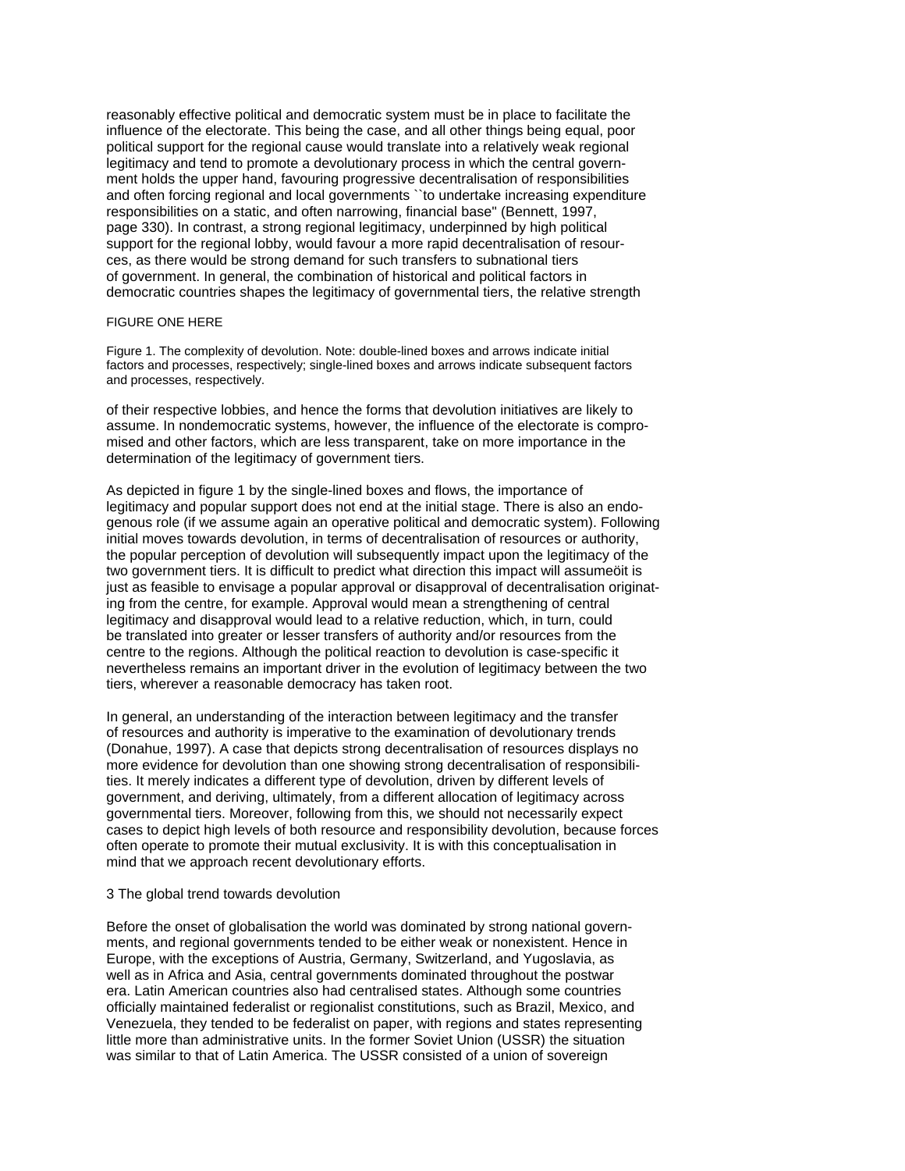reasonably effective political and democratic system must be in place to facilitate the influence of the electorate. This being the case, and all other things being equal, poor political support for the regional cause would translate into a relatively weak regional legitimacy and tend to promote a devolutionary process in which the central government holds the upper hand, favouring progressive decentralisation of responsibilities and often forcing regional and local governments ``to undertake increasing expenditure responsibilities on a static, and often narrowing, financial base'' (Bennett, 1997, page 330). In contrast, a strong regional legitimacy, underpinned by high political support for the regional lobby, would favour a more rapid decentralisation of resources, as there would be strong demand for such transfers to subnational tiers of government. In general, the combination of historical and political factors in democratic countries shapes the legitimacy of governmental tiers, the relative strength

# FIGURE ONE HERE

Figure 1. The complexity of devolution. Note: double-lined boxes and arrows indicate initial factors and processes, respectively; single-lined boxes and arrows indicate subsequent factors and processes, respectively.

of their respective lobbies, and hence the forms that devolution initiatives are likely to assume. In nondemocratic systems, however, the influence of the electorate is compromised and other factors, which are less transparent, take on more importance in the determination of the legitimacy of government tiers.

As depicted in figure 1 by the single-lined boxes and flows, the importance of legitimacy and popular support does not end at the initial stage. There is also an endogenous role (if we assume again an operative political and democratic system). Following initial moves towards devolution, in terms of decentralisation of resources or authority, the popular perception of devolution will subsequently impact upon the legitimacy of the two government tiers. It is difficult to predict what direction this impact will assumeöit is just as feasible to envisage a popular approval or disapproval of decentralisation originating from the centre, for example. Approval would mean a strengthening of central legitimacy and disapproval would lead to a relative reduction, which, in turn, could be translated into greater or lesser transfers of authority and/or resources from the centre to the regions. Although the political reaction to devolution is case-specific it nevertheless remains an important driver in the evolution of legitimacy between the two tiers, wherever a reasonable democracy has taken root.

In general, an understanding of the interaction between legitimacy and the transfer of resources and authority is imperative to the examination of devolutionary trends (Donahue, 1997). A case that depicts strong decentralisation of resources displays no more evidence for devolution than one showing strong decentralisation of responsibilities. It merely indicates a different type of devolution, driven by different levels of government, and deriving, ultimately, from a different allocation of legitimacy across governmental tiers. Moreover, following from this, we should not necessarily expect cases to depict high levels of both resource and responsibility devolution, because forces often operate to promote their mutual exclusivity. It is with this conceptualisation in mind that we approach recent devolutionary efforts.

# 3 The global trend towards devolution

Before the onset of globalisation the world was dominated by strong national governments, and regional governments tended to be either weak or nonexistent. Hence in Europe, with the exceptions of Austria, Germany, Switzerland, and Yugoslavia, as well as in Africa and Asia, central governments dominated throughout the postwar era. Latin American countries also had centralised states. Although some countries officially maintained federalist or regionalist constitutions, such as Brazil, Mexico, and Venezuela, they tended to be federalist on paper, with regions and states representing little more than administrative units. In the former Soviet Union (USSR) the situation was similar to that of Latin America. The USSR consisted of a union of sovereign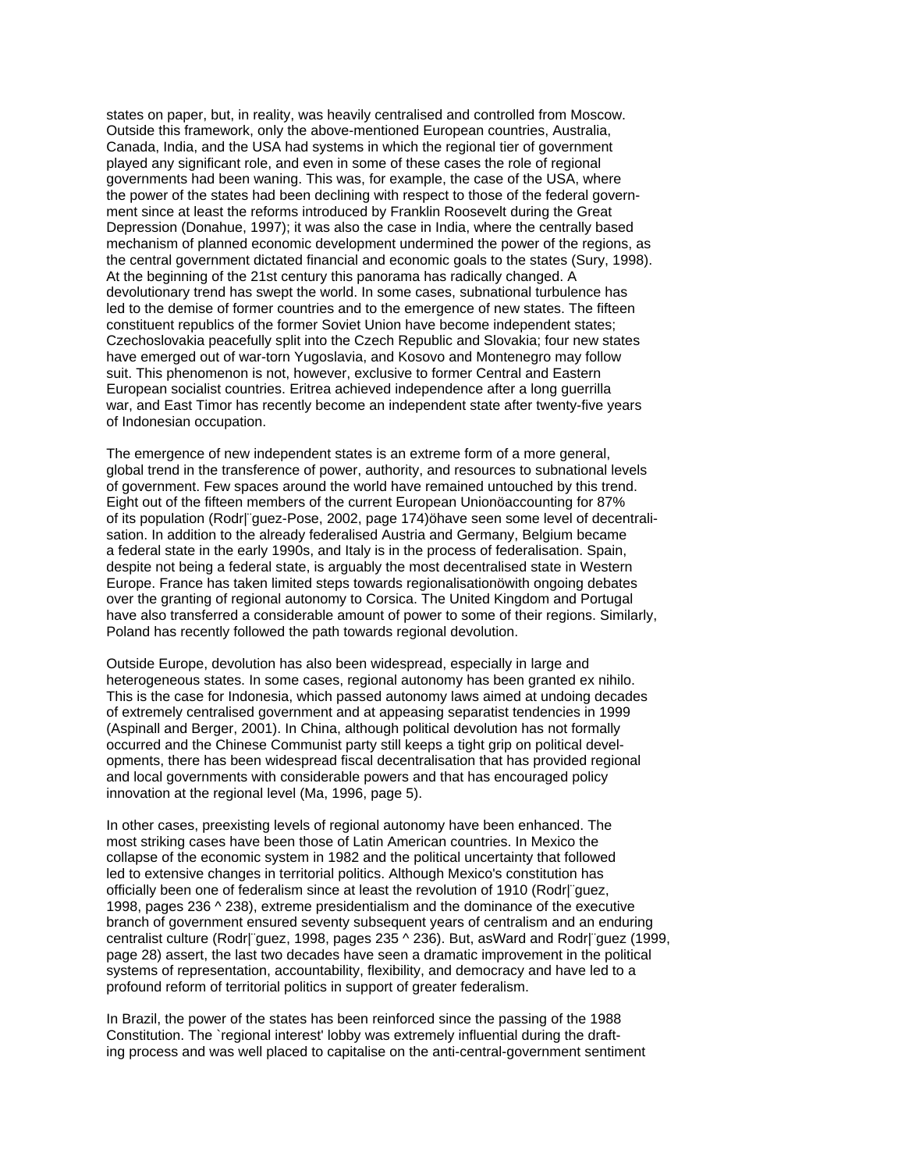states on paper, but, in reality, was heavily centralised and controlled from Moscow. Outside this framework, only the above-mentioned European countries, Australia, Canada, India, and the USA had systems in which the regional tier of government played any significant role, and even in some of these cases the role of regional governments had been waning. This was, for example, the case of the USA, where the power of the states had been declining with respect to those of the federal government since at least the reforms introduced by Franklin Roosevelt during the Great Depression (Donahue, 1997); it was also the case in India, where the centrally based mechanism of planned economic development undermined the power of the regions, as the central government dictated financial and economic goals to the states (Sury, 1998). At the beginning of the 21st century this panorama has radically changed. A devolutionary trend has swept the world. In some cases, subnational turbulence has led to the demise of former countries and to the emergence of new states. The fifteen constituent republics of the former Soviet Union have become independent states; Czechoslovakia peacefully split into the Czech Republic and Slovakia; four new states have emerged out of war-torn Yugoslavia, and Kosovo and Montenegro may follow suit. This phenomenon is not, however, exclusive to former Central and Eastern European socialist countries. Eritrea achieved independence after a long guerrilla war, and East Timor has recently become an independent state after twenty-five years of Indonesian occupation.

The emergence of new independent states is an extreme form of a more general, global trend in the transference of power, authority, and resources to subnational levels of government. Few spaces around the world have remained untouched by this trend. Eight out of the fifteen members of the current European Unionöaccounting for 87% of its population (Rodr|¨guez-Pose, 2002, page 174)öhave seen some level of decentralisation. In addition to the already federalised Austria and Germany, Belgium became a federal state in the early 1990s, and Italy is in the process of federalisation. Spain, despite not being a federal state, is arguably the most decentralised state in Western Europe. France has taken limited steps towards regionalisationöwith ongoing debates over the granting of regional autonomy to Corsica. The United Kingdom and Portugal have also transferred a considerable amount of power to some of their regions. Similarly, Poland has recently followed the path towards regional devolution.

Outside Europe, devolution has also been widespread, especially in large and heterogeneous states. In some cases, regional autonomy has been granted ex nihilo. This is the case for Indonesia, which passed autonomy laws aimed at undoing decades of extremely centralised government and at appeasing separatist tendencies in 1999 (Aspinall and Berger, 2001). In China, although political devolution has not formally occurred and the Chinese Communist party still keeps a tight grip on political developments, there has been widespread fiscal decentralisation that has provided regional and local governments with considerable powers and that has encouraged policy innovation at the regional level (Ma, 1996, page 5).

In other cases, preexisting levels of regional autonomy have been enhanced. The most striking cases have been those of Latin American countries. In Mexico the collapse of the economic system in 1982 and the political uncertainty that followed led to extensive changes in territorial politics. Although Mexico's constitution has officially been one of federalism since at least the revolution of 1910 (Rodr|¨guez, 1998, pages 236 ^ 238), extreme presidentialism and the dominance of the executive branch of government ensured seventy subsequent years of centralism and an enduring centralist culture (Rodr|¨guez, 1998, pages 235 ^ 236). But, asWard and Rodr|¨guez (1999, page 28) assert, the last two decades have seen a dramatic improvement in the political systems of representation, accountability, flexibility, and democracy and have led to a profound reform of territorial politics in support of greater federalism.

In Brazil, the power of the states has been reinforced since the passing of the 1988 Constitution. The `regional interest' lobby was extremely influential during the drafting process and was well placed to capitalise on the anti-central-government sentiment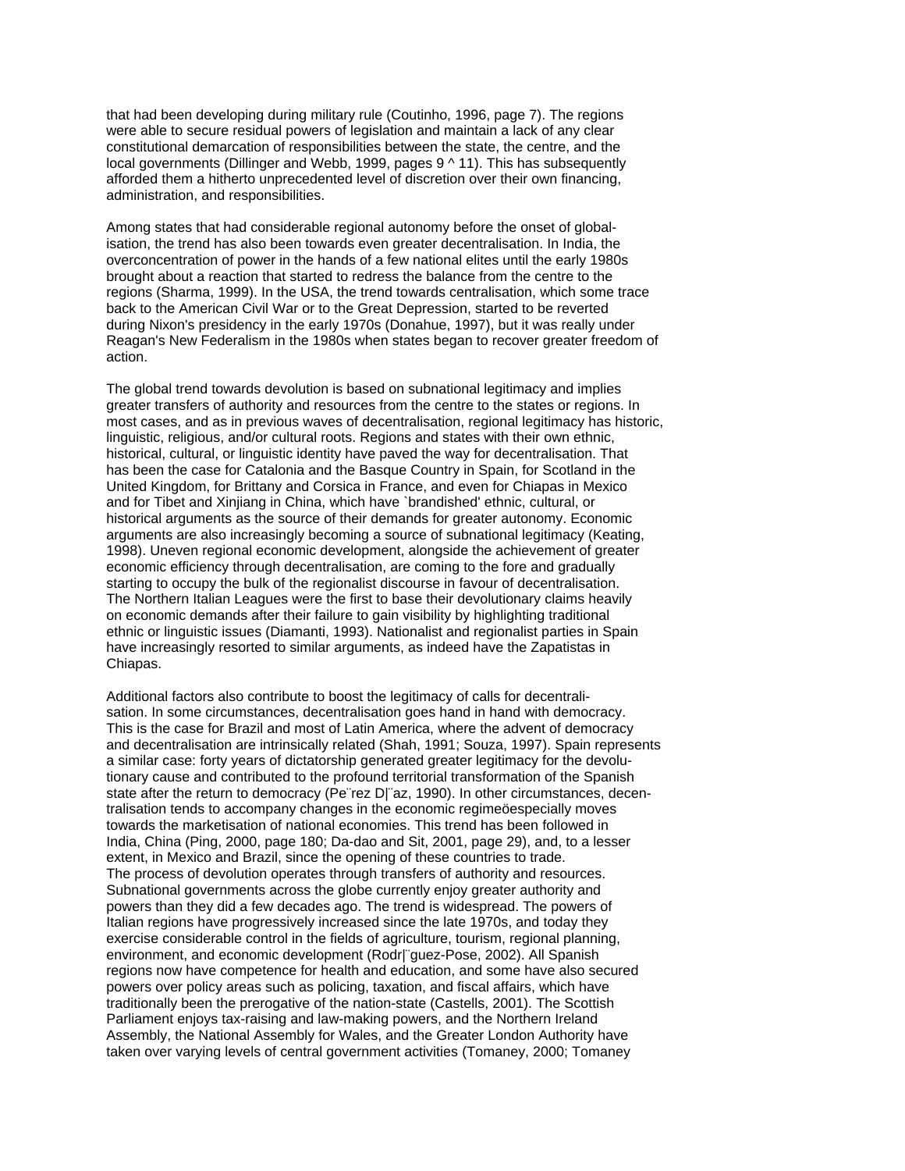that had been developing during military rule (Coutinho, 1996, page 7). The regions were able to secure residual powers of legislation and maintain a lack of any clear constitutional demarcation of responsibilities between the state, the centre, and the local governments (Dillinger and Webb, 1999, pages 9 ^ 11). This has subsequently afforded them a hitherto unprecedented level of discretion over their own financing, administration, and responsibilities.

Among states that had considerable regional autonomy before the onset of globalisation, the trend has also been towards even greater decentralisation. In India, the overconcentration of power in the hands of a few national elites until the early 1980s brought about a reaction that started to redress the balance from the centre to the regions (Sharma, 1999). In the USA, the trend towards centralisation, which some trace back to the American Civil War or to the Great Depression, started to be reverted during Nixon's presidency in the early 1970s (Donahue, 1997), but it was really under Reagan's New Federalism in the 1980s when states began to recover greater freedom of action.

The global trend towards devolution is based on subnational legitimacy and implies greater transfers of authority and resources from the centre to the states or regions. In most cases, and as in previous waves of decentralisation, regional legitimacy has historic, linguistic, religious, and/or cultural roots. Regions and states with their own ethnic, historical, cultural, or linguistic identity have paved the way for decentralisation. That has been the case for Catalonia and the Basque Country in Spain, for Scotland in the United Kingdom, for Brittany and Corsica in France, and even for Chiapas in Mexico and for Tibet and Xinjiang in China, which have `brandished' ethnic, cultural, or historical arguments as the source of their demands for greater autonomy. Economic arguments are also increasingly becoming a source of subnational legitimacy (Keating, 1998). Uneven regional economic development, alongside the achievement of greater economic efficiency through decentralisation, are coming to the fore and gradually starting to occupy the bulk of the regionalist discourse in favour of decentralisation. The Northern Italian Leagues were the first to base their devolutionary claims heavily on economic demands after their failure to gain visibility by highlighting traditional ethnic or linguistic issues (Diamanti, 1993). Nationalist and regionalist parties in Spain have increasingly resorted to similar arguments, as indeed have the Zapatistas in Chiapas.

Additional factors also contribute to boost the legitimacy of calls for decentralisation. In some circumstances, decentralisation goes hand in hand with democracy. This is the case for Brazil and most of Latin America, where the advent of democracy and decentralisation are intrinsically related (Shah, 1991; Souza, 1997). Spain represents a similar case: forty years of dictatorship generated greater legitimacy for the devolutionary cause and contributed to the profound territorial transformation of the Spanish state after the return to democracy (Pe rez D| az, 1990). In other circumstances, decentralisation tends to accompany changes in the economic regimeöespecially moves towards the marketisation of national economies. This trend has been followed in India, China (Ping, 2000, page 180; Da-dao and Sit, 2001, page 29), and, to a lesser extent, in Mexico and Brazil, since the opening of these countries to trade. The process of devolution operates through transfers of authority and resources. Subnational governments across the globe currently enjoy greater authority and powers than they did a few decades ago. The trend is widespread. The powers of Italian regions have progressively increased since the late 1970s, and today they exercise considerable control in the fields of agriculture, tourism, regional planning, environment, and economic development (Rodr|¨guez-Pose, 2002). All Spanish regions now have competence for health and education, and some have also secured powers over policy areas such as policing, taxation, and fiscal affairs, which have traditionally been the prerogative of the nation-state (Castells, 2001). The Scottish Parliament enjoys tax-raising and law-making powers, and the Northern Ireland Assembly, the National Assembly for Wales, and the Greater London Authority have taken over varying levels of central government activities (Tomaney, 2000; Tomaney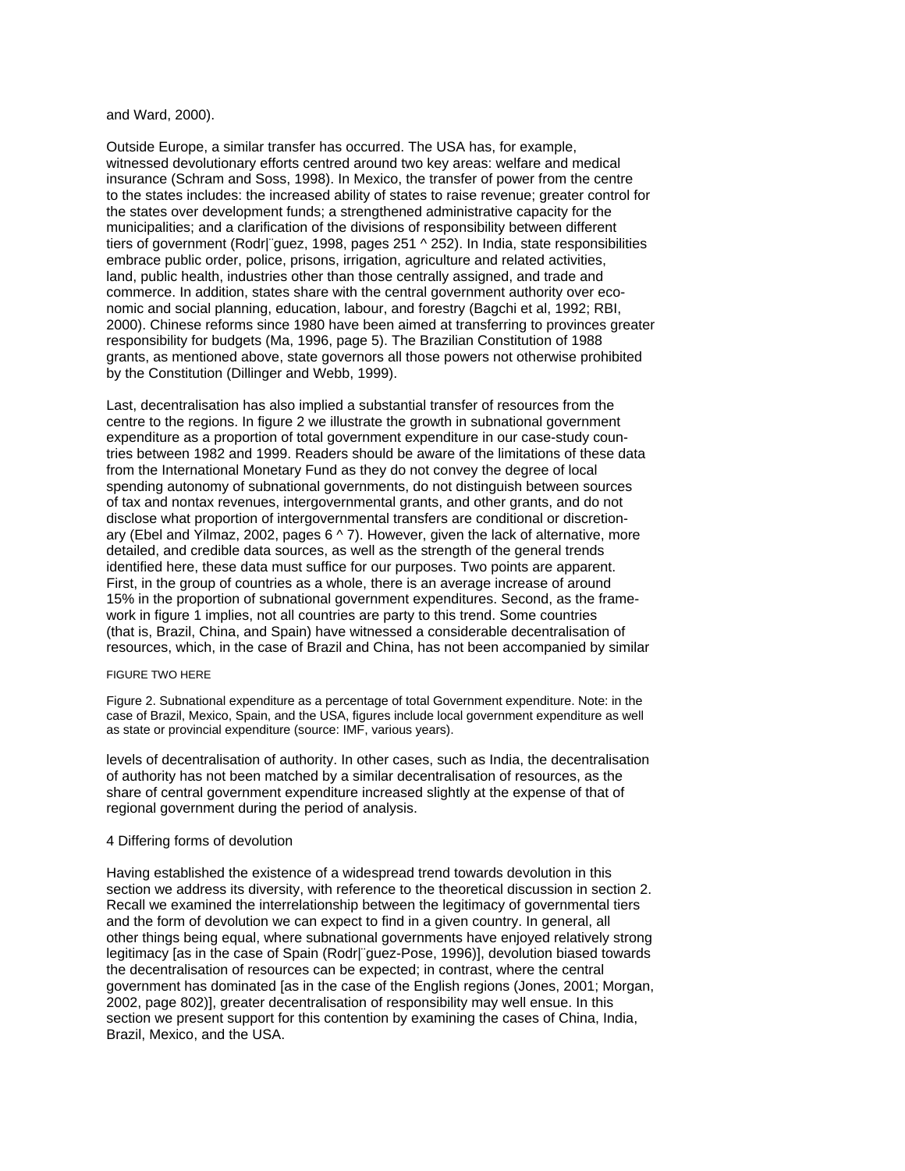## and Ward, 2000).

Outside Europe, a similar transfer has occurred. The USA has, for example, witnessed devolutionary efforts centred around two key areas: welfare and medical insurance (Schram and Soss, 1998). In Mexico, the transfer of power from the centre to the states includes: the increased ability of states to raise revenue; greater control for the states over development funds; a strengthened administrative capacity for the municipalities; and a clarification of the divisions of responsibility between different tiers of government (Rodr|¨guez, 1998, pages 251 ^ 252). In India, state responsibilities embrace public order, police, prisons, irrigation, agriculture and related activities, land, public health, industries other than those centrally assigned, and trade and commerce. In addition, states share with the central government authority over economic and social planning, education, labour, and forestry (Bagchi et al, 1992; RBI, 2000). Chinese reforms since 1980 have been aimed at transferring to provinces greater responsibility for budgets (Ma, 1996, page 5). The Brazilian Constitution of 1988 grants, as mentioned above, state governors all those powers not otherwise prohibited by the Constitution (Dillinger and Webb, 1999).

Last, decentralisation has also implied a substantial transfer of resources from the centre to the regions. In figure 2 we illustrate the growth in subnational government expenditure as a proportion of total government expenditure in our case-study countries between 1982 and 1999. Readers should be aware of the limitations of these data from the International Monetary Fund as they do not convey the degree of local spending autonomy of subnational governments, do not distinguish between sources of tax and nontax revenues, intergovernmental grants, and other grants, and do not disclose what proportion of intergovernmental transfers are conditional or discretionary (Ebel and Yilmaz, 2002, pages  $6 \wedge 7$ ). However, given the lack of alternative, more detailed, and credible data sources, as well as the strength of the general trends identified here, these data must suffice for our purposes. Two points are apparent. First, in the group of countries as a whole, there is an average increase of around 15% in the proportion of subnational government expenditures. Second, as the framework in figure 1 implies, not all countries are party to this trend. Some countries (that is, Brazil, China, and Spain) have witnessed a considerable decentralisation of resources, which, in the case of Brazil and China, has not been accompanied by similar

## FIGURE TWO HERE

Figure 2. Subnational expenditure as a percentage of total Government expenditure. Note: in the case of Brazil, Mexico, Spain, and the USA, figures include local government expenditure as well as state or provincial expenditure (source: IMF, various years).

levels of decentralisation of authority. In other cases, such as India, the decentralisation of authority has not been matched by a similar decentralisation of resources, as the share of central government expenditure increased slightly at the expense of that of regional government during the period of analysis.

# 4 Differing forms of devolution

Having established the existence of a widespread trend towards devolution in this section we address its diversity, with reference to the theoretical discussion in section 2. Recall we examined the interrelationship between the legitimacy of governmental tiers and the form of devolution we can expect to find in a given country. In general, all other things being equal, where subnational governments have enjoyed relatively strong legitimacy [as in the case of Spain (Rodr|¨guez-Pose, 1996)], devolution biased towards the decentralisation of resources can be expected; in contrast, where the central government has dominated [as in the case of the English regions (Jones, 2001; Morgan, 2002, page 802)], greater decentralisation of responsibility may well ensue. In this section we present support for this contention by examining the cases of China, India, Brazil, Mexico, and the USA.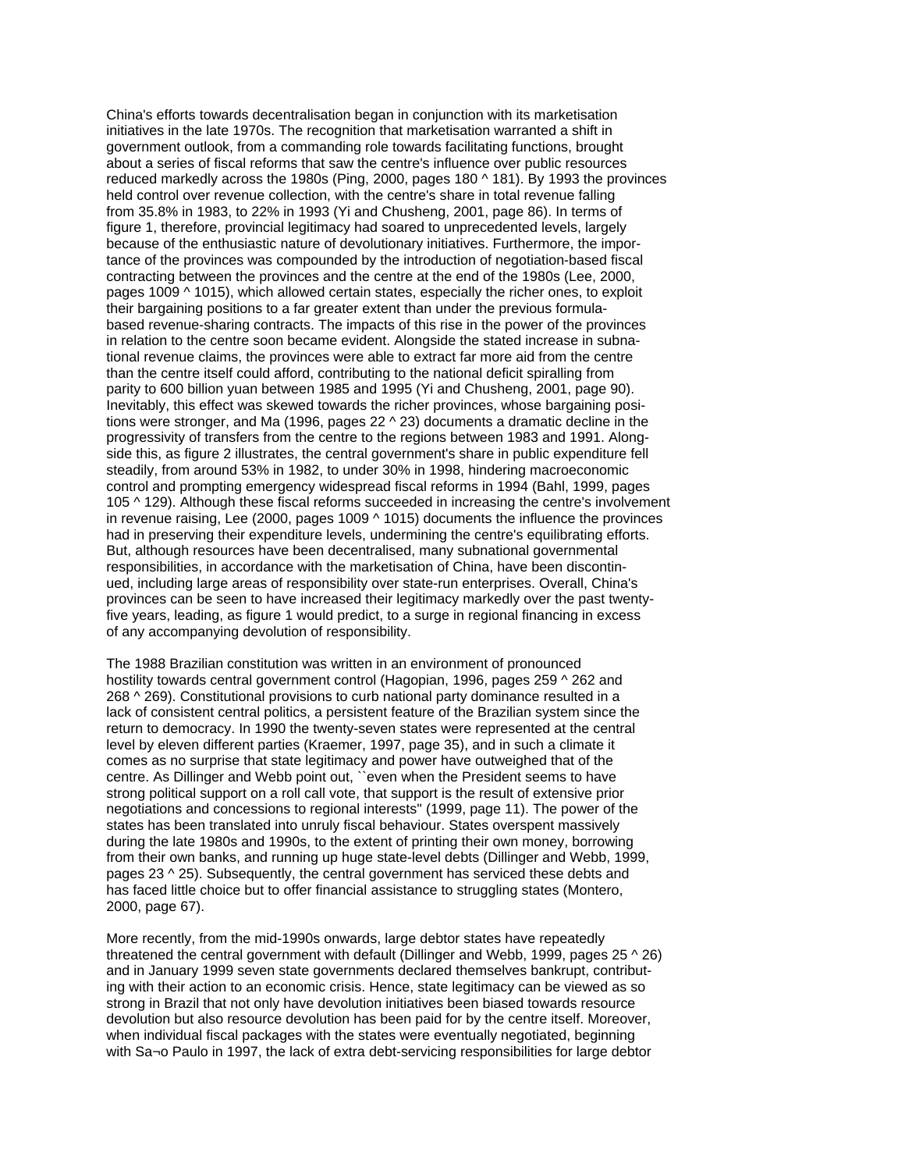China's efforts towards decentralisation began in conjunction with its marketisation initiatives in the late 1970s. The recognition that marketisation warranted a shift in government outlook, from a commanding role towards facilitating functions, brought about a series of fiscal reforms that saw the centre's influence over public resources reduced markedly across the 1980s (Ping, 2000, pages 180 ^ 181). By 1993 the provinces held control over revenue collection, with the centre's share in total revenue falling from 35.8% in 1983, to 22% in 1993 (Yi and Chusheng, 2001, page 86). In terms of figure 1, therefore, provincial legitimacy had soared to unprecedented levels, largely because of the enthusiastic nature of devolutionary initiatives. Furthermore, the importance of the provinces was compounded by the introduction of negotiation-based fiscal contracting between the provinces and the centre at the end of the 1980s (Lee, 2000, pages 1009 ^ 1015), which allowed certain states, especially the richer ones, to exploit their bargaining positions to a far greater extent than under the previous formulabased revenue-sharing contracts. The impacts of this rise in the power of the provinces in relation to the centre soon became evident. Alongside the stated increase in subnational revenue claims, the provinces were able to extract far more aid from the centre than the centre itself could afford, contributing to the national deficit spiralling from parity to 600 billion yuan between 1985 and 1995 (Yi and Chusheng, 2001, page 90). Inevitably, this effect was skewed towards the richer provinces, whose bargaining positions were stronger, and Ma (1996, pages  $22 \land 23$ ) documents a dramatic decline in the progressivity of transfers from the centre to the regions between 1983 and 1991. Alongside this, as figure 2 illustrates, the central government's share in public expenditure fell steadily, from around 53% in 1982, to under 30% in 1998, hindering macroeconomic control and prompting emergency widespread fiscal reforms in 1994 (Bahl, 1999, pages 105 ^ 129). Although these fiscal reforms succeeded in increasing the centre's involvement in revenue raising, Lee (2000, pages 1009 ^ 1015) documents the influence the provinces had in preserving their expenditure levels, undermining the centre's equilibrating efforts. But, although resources have been decentralised, many subnational governmental responsibilities, in accordance with the marketisation of China, have been discontinued, including large areas of responsibility over state-run enterprises. Overall, China's provinces can be seen to have increased their legitimacy markedly over the past twentyfive years, leading, as figure 1 would predict, to a surge in regional financing in excess of any accompanying devolution of responsibility.

The 1988 Brazilian constitution was written in an environment of pronounced hostility towards central government control (Hagopian, 1996, pages 259 ^ 262 and 268 ^ 269). Constitutional provisions to curb national party dominance resulted in a lack of consistent central politics, a persistent feature of the Brazilian system since the return to democracy. In 1990 the twenty-seven states were represented at the central level by eleven different parties (Kraemer, 1997, page 35), and in such a climate it comes as no surprise that state legitimacy and power have outweighed that of the centre. As Dillinger and Webb point out, ``even when the President seems to have strong political support on a roll call vote, that support is the result of extensive prior negotiations and concessions to regional interests'' (1999, page 11). The power of the states has been translated into unruly fiscal behaviour. States overspent massively during the late 1980s and 1990s, to the extent of printing their own money, borrowing from their own banks, and running up huge state-level debts (Dillinger and Webb, 1999, pages 23 ^ 25). Subsequently, the central government has serviced these debts and has faced little choice but to offer financial assistance to struggling states (Montero, 2000, page 67).

More recently, from the mid-1990s onwards, large debtor states have repeatedly threatened the central government with default (Dillinger and Webb, 1999, pages 25 ^ 26) and in January 1999 seven state governments declared themselves bankrupt, contributing with their action to an economic crisis. Hence, state legitimacy can be viewed as so strong in Brazil that not only have devolution initiatives been biased towards resource devolution but also resource devolution has been paid for by the centre itself. Moreover, when individual fiscal packages with the states were eventually negotiated, beginning with Sa¬o Paulo in 1997, the lack of extra debt-servicing responsibilities for large debtor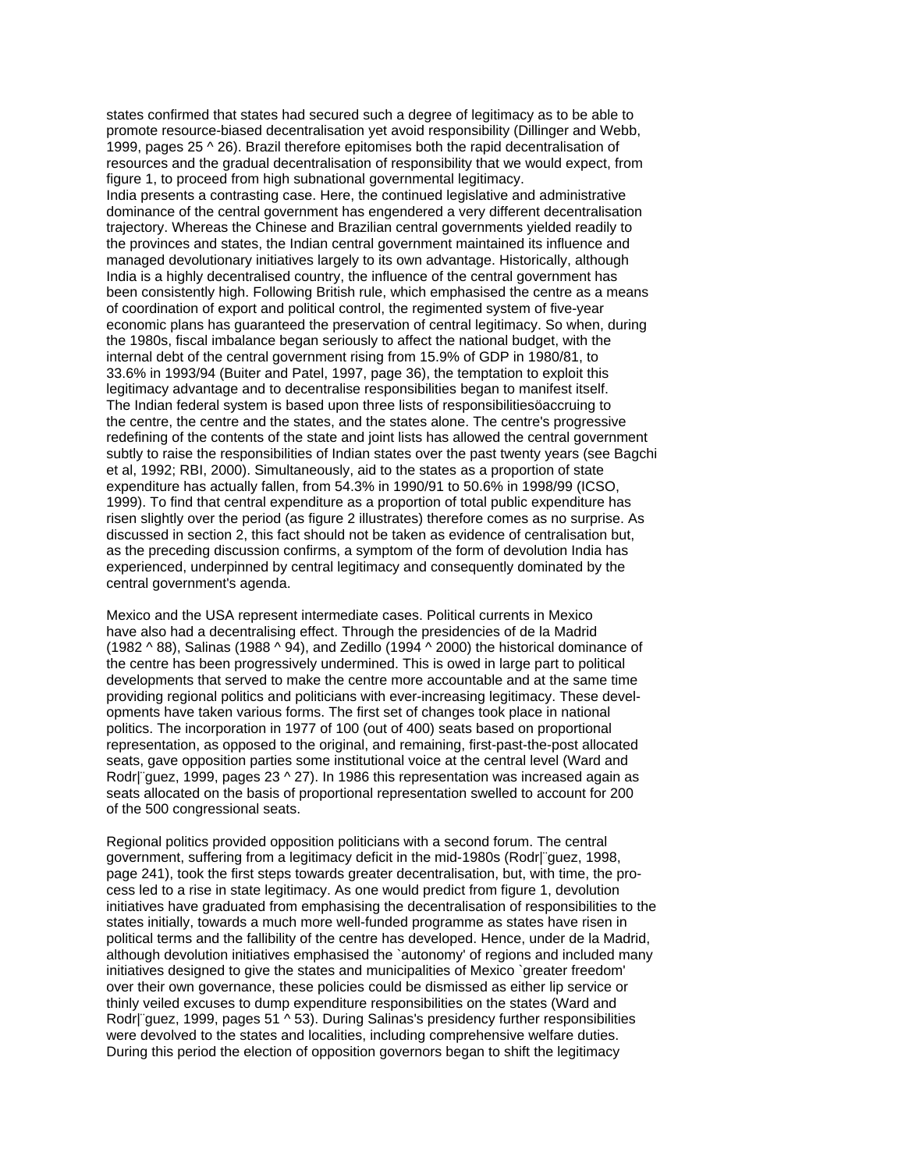states confirmed that states had secured such a degree of legitimacy as to be able to promote resource-biased decentralisation yet avoid responsibility (Dillinger and Webb, 1999, pages 25 ^ 26). Brazil therefore epitomises both the rapid decentralisation of resources and the gradual decentralisation of responsibility that we would expect, from figure 1, to proceed from high subnational governmental legitimacy. India presents a contrasting case. Here, the continued legislative and administrative dominance of the central government has engendered a very different decentralisation trajectory. Whereas the Chinese and Brazilian central governments yielded readily to the provinces and states, the Indian central government maintained its influence and managed devolutionary initiatives largely to its own advantage. Historically, although India is a highly decentralised country, the influence of the central government has been consistently high. Following British rule, which emphasised the centre as a means of coordination of export and political control, the regimented system of five-year economic plans has guaranteed the preservation of central legitimacy. So when, during the 1980s, fiscal imbalance began seriously to affect the national budget, with the internal debt of the central government rising from 15.9% of GDP in 1980/81, to 33.6% in 1993/94 (Buiter and Patel, 1997, page 36), the temptation to exploit this legitimacy advantage and to decentralise responsibilities began to manifest itself. The Indian federal system is based upon three lists of responsibilitiesöaccruing to the centre, the centre and the states, and the states alone. The centre's progressive redefining of the contents of the state and joint lists has allowed the central government subtly to raise the responsibilities of Indian states over the past twenty years (see Bagchi et al, 1992; RBI, 2000). Simultaneously, aid to the states as a proportion of state expenditure has actually fallen, from 54.3% in 1990/91 to 50.6% in 1998/99 (ICSO, 1999). To find that central expenditure as a proportion of total public expenditure has risen slightly over the period (as figure 2 illustrates) therefore comes as no surprise. As discussed in section 2, this fact should not be taken as evidence of centralisation but, as the preceding discussion confirms, a symptom of the form of devolution India has experienced, underpinned by central legitimacy and consequently dominated by the central government's agenda.

Mexico and the USA represent intermediate cases. Political currents in Mexico have also had a decentralising effect. Through the presidencies of de la Madrid (1982  $\land$  88), Salinas (1988  $\land$  94), and Zedillo (1994  $\land$  2000) the historical dominance of the centre has been progressively undermined. This is owed in large part to political developments that served to make the centre more accountable and at the same time providing regional politics and politicians with ever-increasing legitimacy. These developments have taken various forms. The first set of changes took place in national politics. The incorporation in 1977 of 100 (out of 400) seats based on proportional representation, as opposed to the original, and remaining, first-past-the-post allocated seats, gave opposition parties some institutional voice at the central level (Ward and Rodr|¨guez, 1999, pages 23 ^ 27). In 1986 this representation was increased again as seats allocated on the basis of proportional representation swelled to account for 200 of the 500 congressional seats.

Regional politics provided opposition politicians with a second forum. The central government, suffering from a legitimacy deficit in the mid-1980s (Rodr|¨guez, 1998, page 241), took the first steps towards greater decentralisation, but, with time, the process led to a rise in state legitimacy. As one would predict from figure 1, devolution initiatives have graduated from emphasising the decentralisation of responsibilities to the states initially, towards a much more well-funded programme as states have risen in political terms and the fallibility of the centre has developed. Hence, under de la Madrid, although devolution initiatives emphasised the `autonomy' of regions and included many initiatives designed to give the states and municipalities of Mexico `greater freedom' over their own governance, these policies could be dismissed as either lip service or thinly veiled excuses to dump expenditure responsibilities on the states (Ward and Rodr $\Gamma$  quez, 1999, pages 51  $\land$  53). During Salinas's presidency further responsibilities were devolved to the states and localities, including comprehensive welfare duties. During this period the election of opposition governors began to shift the legitimacy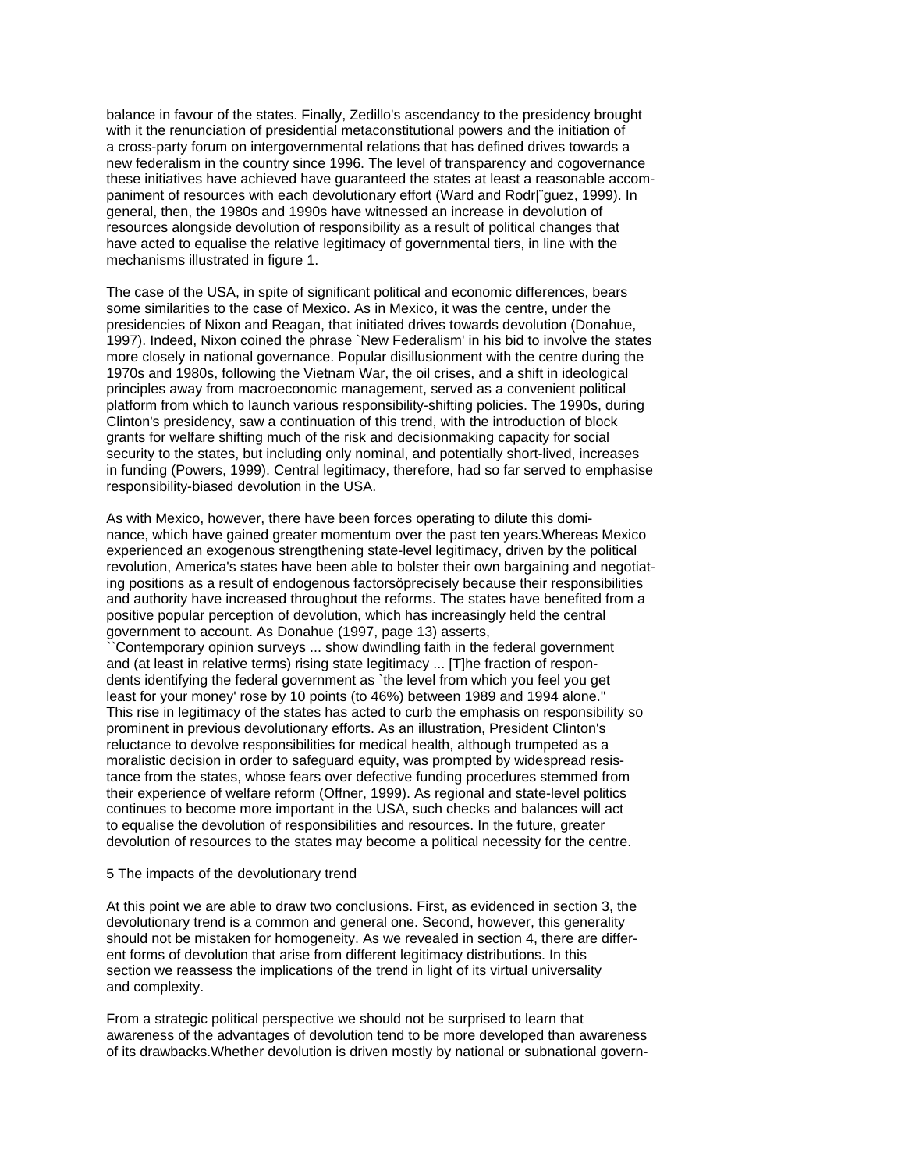balance in favour of the states. Finally, Zedillo's ascendancy to the presidency brought with it the renunciation of presidential metaconstitutional powers and the initiation of a cross-party forum on intergovernmental relations that has defined drives towards a new federalism in the country since 1996. The level of transparency and cogovernance these initiatives have achieved have guaranteed the states at least a reasonable accompaniment of resources with each devolutionary effort (Ward and Rodr|¨guez, 1999). In general, then, the 1980s and 1990s have witnessed an increase in devolution of resources alongside devolution of responsibility as a result of political changes that have acted to equalise the relative legitimacy of governmental tiers, in line with the mechanisms illustrated in figure 1.

The case of the USA, in spite of significant political and economic differences, bears some similarities to the case of Mexico. As in Mexico, it was the centre, under the presidencies of Nixon and Reagan, that initiated drives towards devolution (Donahue, 1997). Indeed, Nixon coined the phrase `New Federalism' in his bid to involve the states more closely in national governance. Popular disillusionment with the centre during the 1970s and 1980s, following the Vietnam War, the oil crises, and a shift in ideological principles away from macroeconomic management, served as a convenient political platform from which to launch various responsibility-shifting policies. The 1990s, during Clinton's presidency, saw a continuation of this trend, with the introduction of block grants for welfare shifting much of the risk and decisionmaking capacity for social security to the states, but including only nominal, and potentially short-lived, increases in funding (Powers, 1999). Central legitimacy, therefore, had so far served to emphasise responsibility-biased devolution in the USA.

As with Mexico, however, there have been forces operating to dilute this dominance, which have gained greater momentum over the past ten years.Whereas Mexico experienced an exogenous strengthening state-level legitimacy, driven by the political revolution, America's states have been able to bolster their own bargaining and negotiating positions as a result of endogenous factorsöprecisely because their responsibilities and authority have increased throughout the reforms. The states have benefited from a positive popular perception of devolution, which has increasingly held the central government to account. As Donahue (1997, page 13) asserts,

Contemporary opinion surveys ... show dwindling faith in the federal government and (at least in relative terms) rising state legitimacy ... [T]he fraction of respondents identifying the federal government as `the level from which you feel you get least for your money' rose by 10 points (to 46%) between 1989 and 1994 alone.'' This rise in legitimacy of the states has acted to curb the emphasis on responsibility so prominent in previous devolutionary efforts. As an illustration, President Clinton's reluctance to devolve responsibilities for medical health, although trumpeted as a moralistic decision in order to safeguard equity, was prompted by widespread resistance from the states, whose fears over defective funding procedures stemmed from their experience of welfare reform (Offner, 1999). As regional and state-level politics continues to become more important in the USA, such checks and balances will act to equalise the devolution of responsibilities and resources. In the future, greater devolution of resources to the states may become a political necessity for the centre.

## 5 The impacts of the devolutionary trend

At this point we are able to draw two conclusions. First, as evidenced in section 3, the devolutionary trend is a common and general one. Second, however, this generality should not be mistaken for homogeneity. As we revealed in section 4, there are different forms of devolution that arise from different legitimacy distributions. In this section we reassess the implications of the trend in light of its virtual universality and complexity.

From a strategic political perspective we should not be surprised to learn that awareness of the advantages of devolution tend to be more developed than awareness of its drawbacks.Whether devolution is driven mostly by national or subnational govern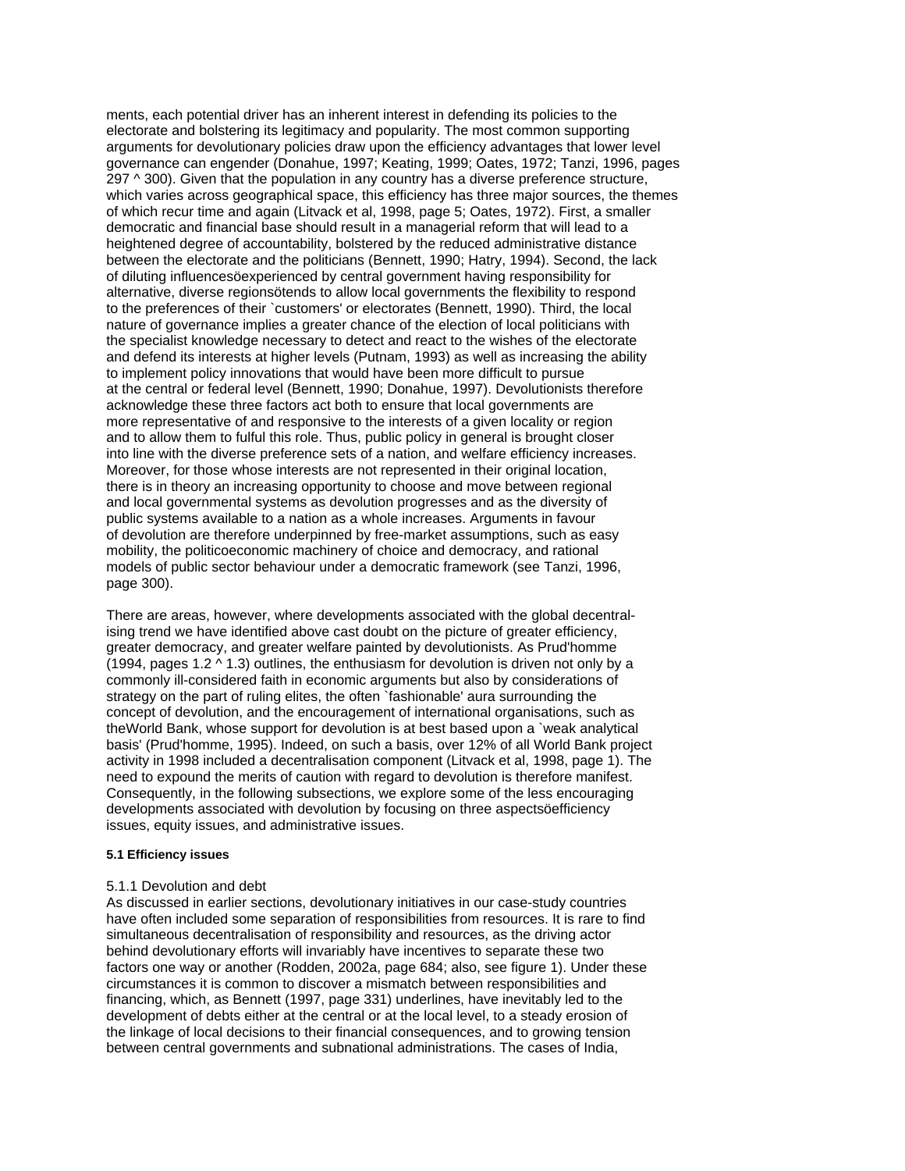ments, each potential driver has an inherent interest in defending its policies to the electorate and bolstering its legitimacy and popularity. The most common supporting arguments for devolutionary policies draw upon the efficiency advantages that lower level governance can engender (Donahue, 1997; Keating, 1999; Oates, 1972; Tanzi, 1996, pages  $297 \land 300$ ). Given that the population in any country has a diverse preference structure, which varies across geographical space, this efficiency has three major sources, the themes of which recur time and again (Litvack et al, 1998, page 5; Oates, 1972). First, a smaller democratic and financial base should result in a managerial reform that will lead to a heightened degree of accountability, bolstered by the reduced administrative distance between the electorate and the politicians (Bennett, 1990; Hatry, 1994). Second, the lack of diluting influencesöexperienced by central government having responsibility for alternative, diverse regionsötends to allow local governments the flexibility to respond to the preferences of their `customers' or electorates (Bennett, 1990). Third, the local nature of governance implies a greater chance of the election of local politicians with the specialist knowledge necessary to detect and react to the wishes of the electorate and defend its interests at higher levels (Putnam, 1993) as well as increasing the ability to implement policy innovations that would have been more difficult to pursue at the central or federal level (Bennett, 1990; Donahue, 1997). Devolutionists therefore acknowledge these three factors act both to ensure that local governments are more representative of and responsive to the interests of a given locality or region and to allow them to fulful this role. Thus, public policy in general is brought closer into line with the diverse preference sets of a nation, and welfare efficiency increases. Moreover, for those whose interests are not represented in their original location, there is in theory an increasing opportunity to choose and move between regional and local governmental systems as devolution progresses and as the diversity of public systems available to a nation as a whole increases. Arguments in favour of devolution are therefore underpinned by free-market assumptions, such as easy mobility, the politicoeconomic machinery of choice and democracy, and rational models of public sector behaviour under a democratic framework (see Tanzi, 1996, page 300).

There are areas, however, where developments associated with the global decentralising trend we have identified above cast doubt on the picture of greater efficiency, greater democracy, and greater welfare painted by devolutionists. As Prud'homme (1994, pages  $1.2 \land 1.3$ ) outlines, the enthusiasm for devolution is driven not only by a commonly ill-considered faith in economic arguments but also by considerations of strategy on the part of ruling elites, the often `fashionable' aura surrounding the concept of devolution, and the encouragement of international organisations, such as theWorld Bank, whose support for devolution is at best based upon a `weak analytical basis' (Prud'homme, 1995). Indeed, on such a basis, over 12% of all World Bank project activity in 1998 included a decentralisation component (Litvack et al, 1998, page 1). The need to expound the merits of caution with regard to devolution is therefore manifest. Consequently, in the following subsections, we explore some of the less encouraging developments associated with devolution by focusing on three aspectsöefficiency issues, equity issues, and administrative issues.

## **5.1 Efficiency issues**

# 5.1.1 Devolution and debt

As discussed in earlier sections, devolutionary initiatives in our case-study countries have often included some separation of responsibilities from resources. It is rare to find simultaneous decentralisation of responsibility and resources, as the driving actor behind devolutionary efforts will invariably have incentives to separate these two factors one way or another (Rodden, 2002a, page 684; also, see figure 1). Under these circumstances it is common to discover a mismatch between responsibilities and financing, which, as Bennett (1997, page 331) underlines, have inevitably led to the development of debts either at the central or at the local level, to a steady erosion of the linkage of local decisions to their financial consequences, and to growing tension between central governments and subnational administrations. The cases of India,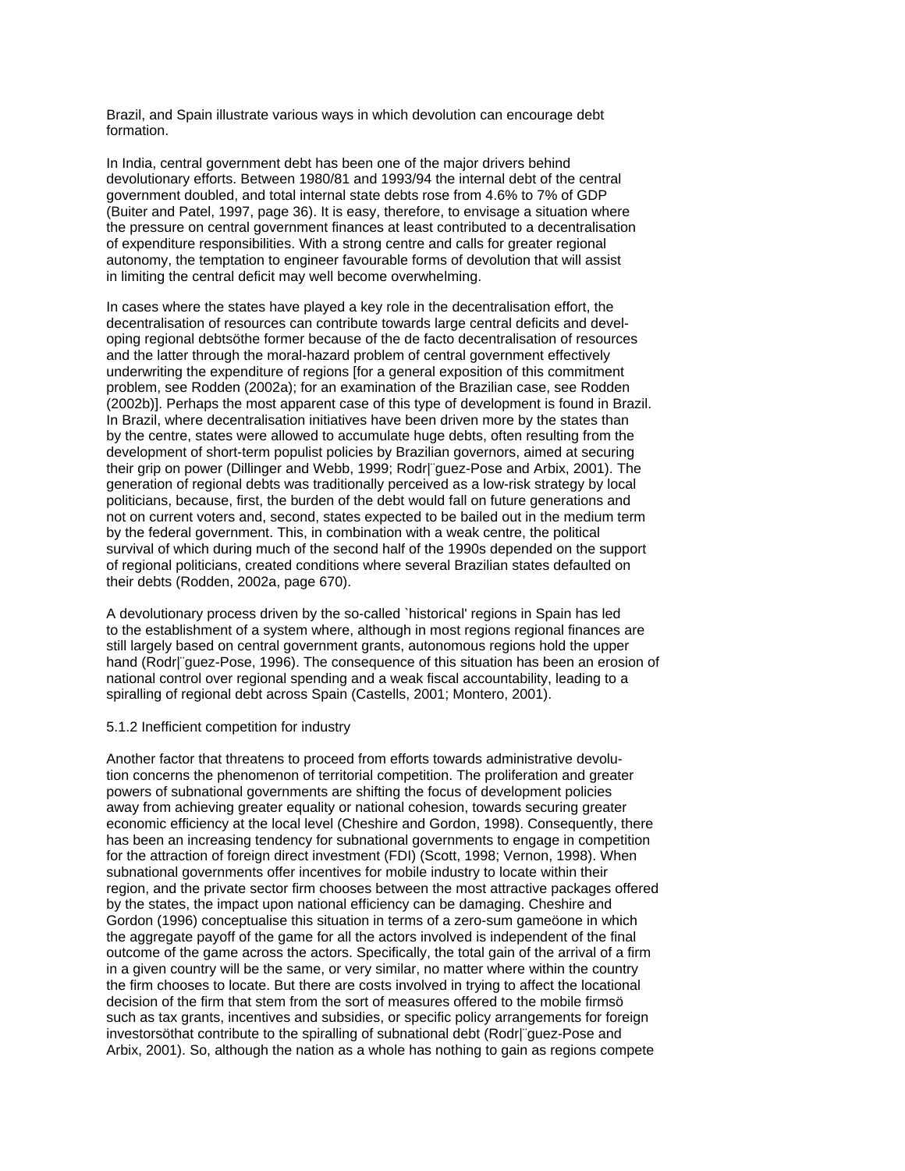Brazil, and Spain illustrate various ways in which devolution can encourage debt formation.

In India, central government debt has been one of the major drivers behind devolutionary efforts. Between 1980/81 and 1993/94 the internal debt of the central government doubled, and total internal state debts rose from 4.6% to 7% of GDP (Buiter and Patel, 1997, page 36). It is easy, therefore, to envisage a situation where the pressure on central government finances at least contributed to a decentralisation of expenditure responsibilities. With a strong centre and calls for greater regional autonomy, the temptation to engineer favourable forms of devolution that will assist in limiting the central deficit may well become overwhelming.

In cases where the states have played a key role in the decentralisation effort, the decentralisation of resources can contribute towards large central deficits and developing regional debtsöthe former because of the de facto decentralisation of resources and the latter through the moral-hazard problem of central government effectively underwriting the expenditure of regions [for a general exposition of this commitment problem, see Rodden (2002a); for an examination of the Brazilian case, see Rodden (2002b)]. Perhaps the most apparent case of this type of development is found in Brazil. In Brazil, where decentralisation initiatives have been driven more by the states than by the centre, states were allowed to accumulate huge debts, often resulting from the development of short-term populist policies by Brazilian governors, aimed at securing their grip on power (Dillinger and Webb, 1999; Rodr|¨guez-Pose and Arbix, 2001). The generation of regional debts was traditionally perceived as a low-risk strategy by local politicians, because, first, the burden of the debt would fall on future generations and not on current voters and, second, states expected to be bailed out in the medium term by the federal government. This, in combination with a weak centre, the political survival of which during much of the second half of the 1990s depended on the support of regional politicians, created conditions where several Brazilian states defaulted on their debts (Rodden, 2002a, page 670).

A devolutionary process driven by the so-called `historical' regions in Spain has led to the establishment of a system where, although in most regions regional finances are still largely based on central government grants, autonomous regions hold the upper hand (Rodr|¨guez-Pose, 1996). The consequence of this situation has been an erosion of national control over regional spending and a weak fiscal accountability, leading to a spiralling of regional debt across Spain (Castells, 2001; Montero, 2001).

# 5.1.2 Inefficient competition for industry

Another factor that threatens to proceed from efforts towards administrative devolution concerns the phenomenon of territorial competition. The proliferation and greater powers of subnational governments are shifting the focus of development policies away from achieving greater equality or national cohesion, towards securing greater economic efficiency at the local level (Cheshire and Gordon, 1998). Consequently, there has been an increasing tendency for subnational governments to engage in competition for the attraction of foreign direct investment (FDI) (Scott, 1998; Vernon, 1998). When subnational governments offer incentives for mobile industry to locate within their region, and the private sector firm chooses between the most attractive packages offered by the states, the impact upon national efficiency can be damaging. Cheshire and Gordon (1996) conceptualise this situation in terms of a zero-sum gameöone in which the aggregate payoff of the game for all the actors involved is independent of the final outcome of the game across the actors. Specifically, the total gain of the arrival of a firm in a given country will be the same, or very similar, no matter where within the country the firm chooses to locate. But there are costs involved in trying to affect the locational decision of the firm that stem from the sort of measures offered to the mobile firmsö such as tax grants, incentives and subsidies, or specific policy arrangements for foreign investorsöthat contribute to the spiralling of subnational debt (Rodr|¨guez-Pose and Arbix, 2001). So, although the nation as a whole has nothing to gain as regions compete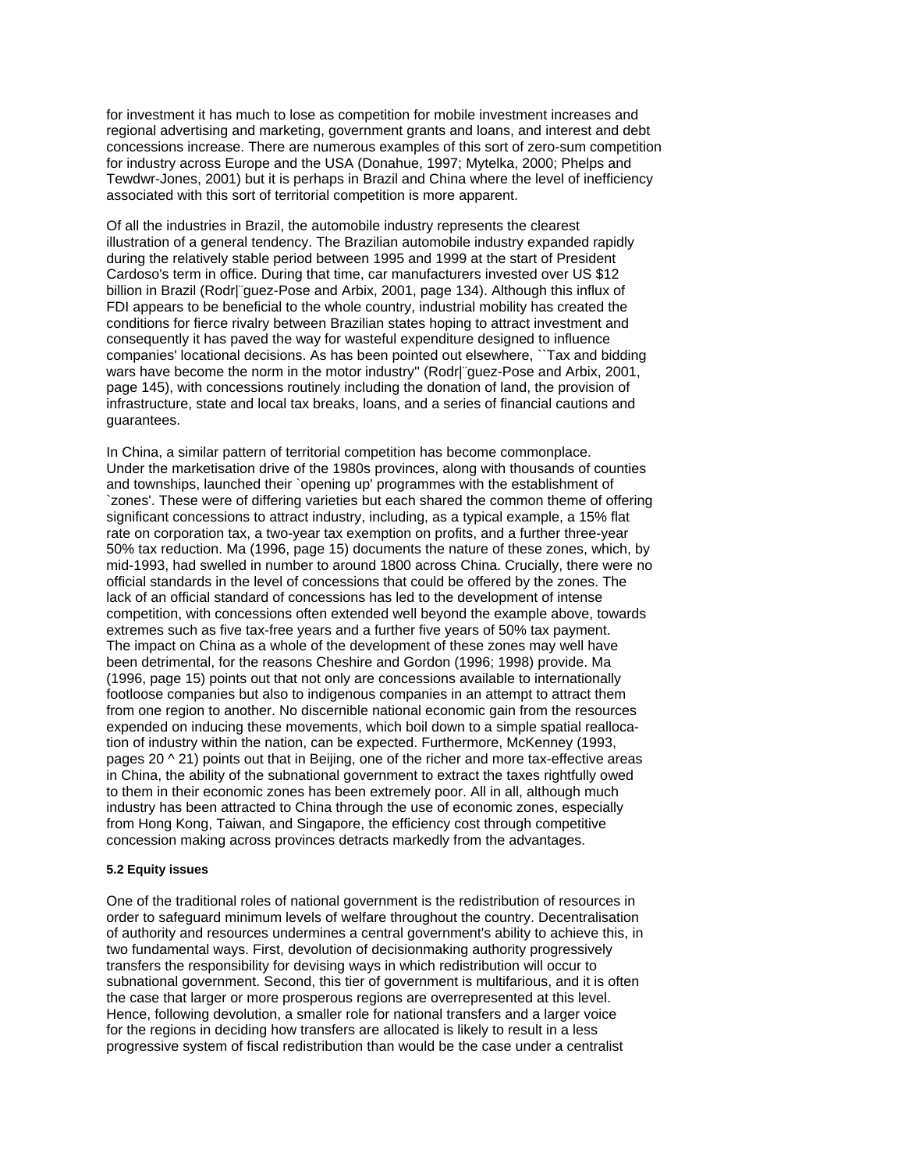for investment it has much to lose as competition for mobile investment increases and regional advertising and marketing, government grants and loans, and interest and debt concessions increase. There are numerous examples of this sort of zero-sum competition for industry across Europe and the USA (Donahue, 1997; Mytelka, 2000; Phelps and Tewdwr-Jones, 2001) but it is perhaps in Brazil and China where the level of inefficiency associated with this sort of territorial competition is more apparent.

Of all the industries in Brazil, the automobile industry represents the clearest illustration of a general tendency. The Brazilian automobile industry expanded rapidly during the relatively stable period between 1995 and 1999 at the start of President Cardoso's term in office. During that time, car manufacturers invested over US \$12 billion in Brazil (Rodr|¨guez-Pose and Arbix, 2001, page 134). Although this influx of FDI appears to be beneficial to the whole country, industrial mobility has created the conditions for fierce rivalry between Brazilian states hoping to attract investment and consequently it has paved the way for wasteful expenditure designed to influence companies' locational decisions. As has been pointed out elsewhere, ``Tax and bidding wars have become the norm in the motor industry" (Rodr|"quez-Pose and Arbix, 2001, page 145), with concessions routinely including the donation of land, the provision of infrastructure, state and local tax breaks, loans, and a series of financial cautions and guarantees.

In China, a similar pattern of territorial competition has become commonplace. Under the marketisation drive of the 1980s provinces, along with thousands of counties and townships, launched their `opening up' programmes with the establishment of `zones'. These were of differing varieties but each shared the common theme of offering significant concessions to attract industry, including, as a typical example, a 15% flat rate on corporation tax, a two-year tax exemption on profits, and a further three-year 50% tax reduction. Ma (1996, page 15) documents the nature of these zones, which, by mid-1993, had swelled in number to around 1800 across China. Crucially, there were no official standards in the level of concessions that could be offered by the zones. The lack of an official standard of concessions has led to the development of intense competition, with concessions often extended well beyond the example above, towards extremes such as five tax-free years and a further five years of 50% tax payment. The impact on China as a whole of the development of these zones may well have been detrimental, for the reasons Cheshire and Gordon (1996; 1998) provide. Ma (1996, page 15) points out that not only are concessions available to internationally footloose companies but also to indigenous companies in an attempt to attract them from one region to another. No discernible national economic gain from the resources expended on inducing these movements, which boil down to a simple spatial reallocation of industry within the nation, can be expected. Furthermore, McKenney (1993, pages  $20 \land 21$ ) points out that in Beijing, one of the richer and more tax-effective areas in China, the ability of the subnational government to extract the taxes rightfully owed to them in their economic zones has been extremely poor. All in all, although much industry has been attracted to China through the use of economic zones, especially from Hong Kong, Taiwan, and Singapore, the efficiency cost through competitive concession making across provinces detracts markedly from the advantages.

## **5.2 Equity issues**

One of the traditional roles of national government is the redistribution of resources in order to safeguard minimum levels of welfare throughout the country. Decentralisation of authority and resources undermines a central government's ability to achieve this, in two fundamental ways. First, devolution of decisionmaking authority progressively transfers the responsibility for devising ways in which redistribution will occur to subnational government. Second, this tier of government is multifarious, and it is often the case that larger or more prosperous regions are overrepresented at this level. Hence, following devolution, a smaller role for national transfers and a larger voice for the regions in deciding how transfers are allocated is likely to result in a less progressive system of fiscal redistribution than would be the case under a centralist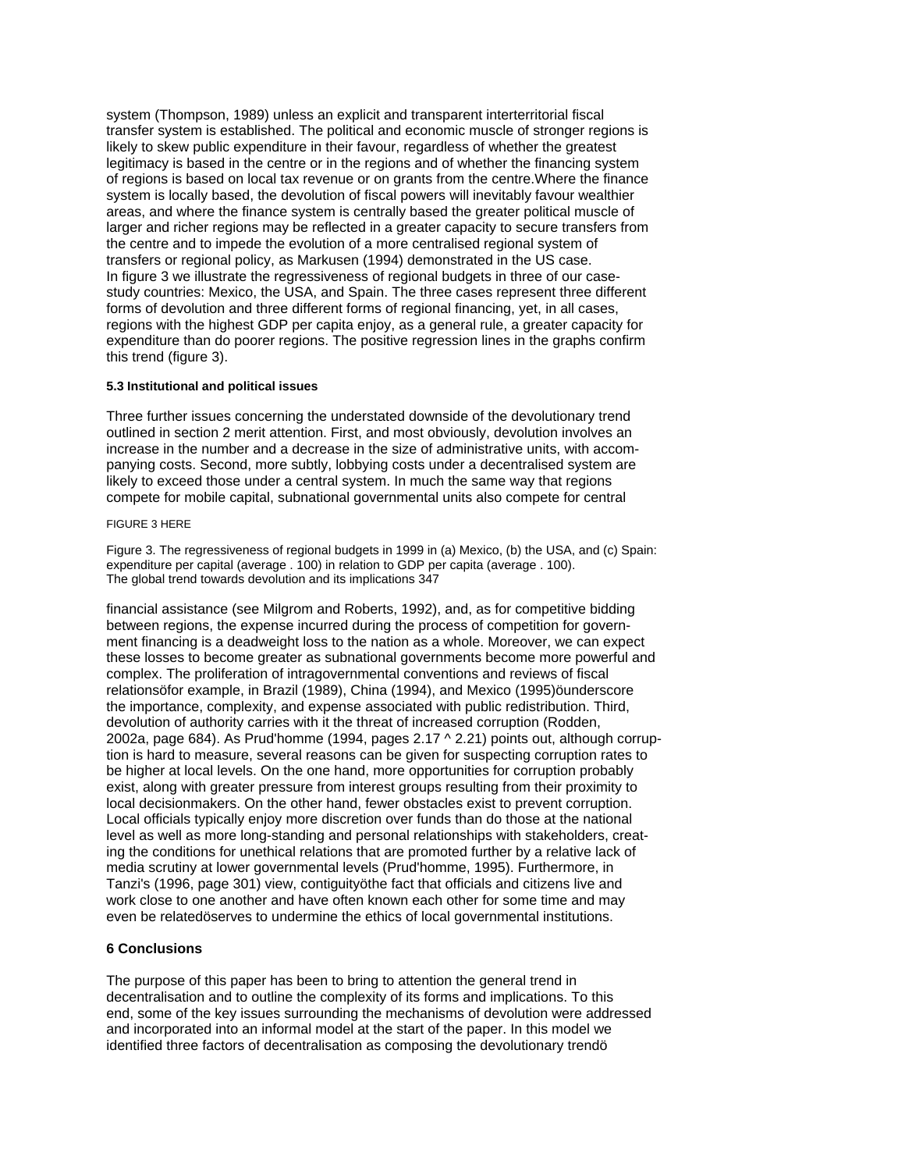system (Thompson, 1989) unless an explicit and transparent interterritorial fiscal transfer system is established. The political and economic muscle of stronger regions is likely to skew public expenditure in their favour, regardless of whether the greatest legitimacy is based in the centre or in the regions and of whether the financing system of regions is based on local tax revenue or on grants from the centre.Where the finance system is locally based, the devolution of fiscal powers will inevitably favour wealthier areas, and where the finance system is centrally based the greater political muscle of larger and richer regions may be reflected in a greater capacity to secure transfers from the centre and to impede the evolution of a more centralised regional system of transfers or regional policy, as Markusen (1994) demonstrated in the US case. In figure 3 we illustrate the regressiveness of regional budgets in three of our casestudy countries: Mexico, the USA, and Spain. The three cases represent three different forms of devolution and three different forms of regional financing, yet, in all cases, regions with the highest GDP per capita enjoy, as a general rule, a greater capacity for expenditure than do poorer regions. The positive regression lines in the graphs confirm this trend (figure 3).

## **5.3 Institutional and political issues**

Three further issues concerning the understated downside of the devolutionary trend outlined in section 2 merit attention. First, and most obviously, devolution involves an increase in the number and a decrease in the size of administrative units, with accompanying costs. Second, more subtly, lobbying costs under a decentralised system are likely to exceed those under a central system. In much the same way that regions compete for mobile capital, subnational governmental units also compete for central

#### FIGURE 3 HERE

Figure 3. The regressiveness of regional budgets in 1999 in (a) Mexico, (b) the USA, and (c) Spain: expenditure per capital (average . 100) in relation to GDP per capita (average . 100). The global trend towards devolution and its implications 347

financial assistance (see Milgrom and Roberts, 1992), and, as for competitive bidding between regions, the expense incurred during the process of competition for government financing is a deadweight loss to the nation as a whole. Moreover, we can expect these losses to become greater as subnational governments become more powerful and complex. The proliferation of intragovernmental conventions and reviews of fiscal relationsöfor example, in Brazil (1989), China (1994), and Mexico (1995)öunderscore the importance, complexity, and expense associated with public redistribution. Third, devolution of authority carries with it the threat of increased corruption (Rodden, 2002a, page 684). As Prud'homme (1994, pages 2.17 ^ 2.21) points out, although corruption is hard to measure, several reasons can be given for suspecting corruption rates to be higher at local levels. On the one hand, more opportunities for corruption probably exist, along with greater pressure from interest groups resulting from their proximity to local decisionmakers. On the other hand, fewer obstacles exist to prevent corruption. Local officials typically enjoy more discretion over funds than do those at the national level as well as more long-standing and personal relationships with stakeholders, creating the conditions for unethical relations that are promoted further by a relative lack of media scrutiny at lower governmental levels (Prud'homme, 1995). Furthermore, in Tanzi's (1996, page 301) view, contiguityöthe fact that officials and citizens live and work close to one another and have often known each other for some time and may even be relatedöserves to undermine the ethics of local governmental institutions.

# **6 Conclusions**

The purpose of this paper has been to bring to attention the general trend in decentralisation and to outline the complexity of its forms and implications. To this end, some of the key issues surrounding the mechanisms of devolution were addressed and incorporated into an informal model at the start of the paper. In this model we identified three factors of decentralisation as composing the devolutionary trendö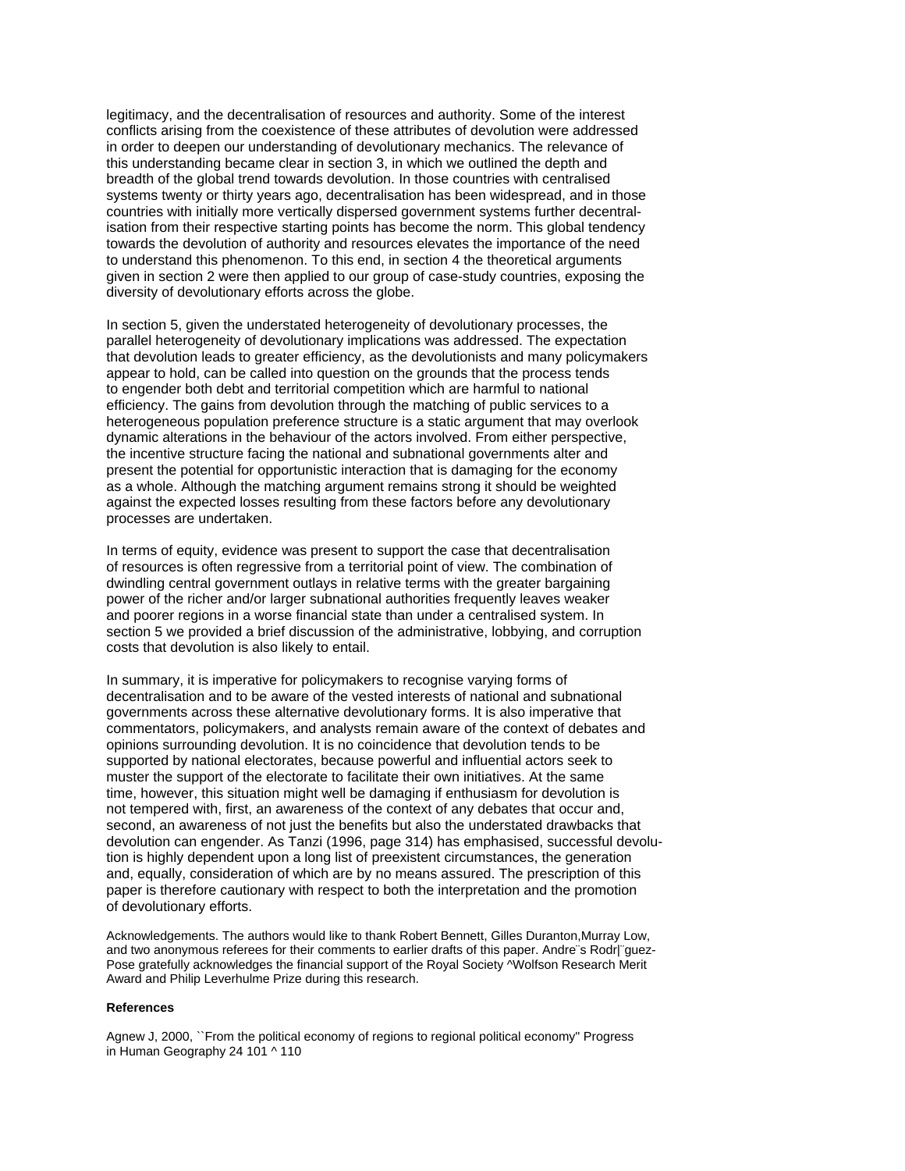legitimacy, and the decentralisation of resources and authority. Some of the interest conflicts arising from the coexistence of these attributes of devolution were addressed in order to deepen our understanding of devolutionary mechanics. The relevance of this understanding became clear in section 3, in which we outlined the depth and breadth of the global trend towards devolution. In those countries with centralised systems twenty or thirty years ago, decentralisation has been widespread, and in those countries with initially more vertically dispersed government systems further decentralisation from their respective starting points has become the norm. This global tendency towards the devolution of authority and resources elevates the importance of the need to understand this phenomenon. To this end, in section 4 the theoretical arguments given in section 2 were then applied to our group of case-study countries, exposing the diversity of devolutionary efforts across the globe.

In section 5, given the understated heterogeneity of devolutionary processes, the parallel heterogeneity of devolutionary implications was addressed. The expectation that devolution leads to greater efficiency, as the devolutionists and many policymakers appear to hold, can be called into question on the grounds that the process tends to engender both debt and territorial competition which are harmful to national efficiency. The gains from devolution through the matching of public services to a heterogeneous population preference structure is a static argument that may overlook dynamic alterations in the behaviour of the actors involved. From either perspective, the incentive structure facing the national and subnational governments alter and present the potential for opportunistic interaction that is damaging for the economy as a whole. Although the matching argument remains strong it should be weighted against the expected losses resulting from these factors before any devolutionary processes are undertaken.

In terms of equity, evidence was present to support the case that decentralisation of resources is often regressive from a territorial point of view. The combination of dwindling central government outlays in relative terms with the greater bargaining power of the richer and/or larger subnational authorities frequently leaves weaker and poorer regions in a worse financial state than under a centralised system. In section 5 we provided a brief discussion of the administrative, lobbying, and corruption costs that devolution is also likely to entail.

In summary, it is imperative for policymakers to recognise varying forms of decentralisation and to be aware of the vested interests of national and subnational governments across these alternative devolutionary forms. It is also imperative that commentators, policymakers, and analysts remain aware of the context of debates and opinions surrounding devolution. It is no coincidence that devolution tends to be supported by national electorates, because powerful and influential actors seek to muster the support of the electorate to facilitate their own initiatives. At the same time, however, this situation might well be damaging if enthusiasm for devolution is not tempered with, first, an awareness of the context of any debates that occur and, second, an awareness of not just the benefits but also the understated drawbacks that devolution can engender. As Tanzi (1996, page 314) has emphasised, successful devolution is highly dependent upon a long list of preexistent circumstances, the generation and, equally, consideration of which are by no means assured. The prescription of this paper is therefore cautionary with respect to both the interpretation and the promotion of devolutionary efforts.

Acknowledgements. The authors would like to thank Robert Bennett, Gilles Duranton,Murray Low, and two anonymous referees for their comments to earlier drafts of this paper. Andre s Rodr| quez-Pose gratefully acknowledges the financial support of the Royal Society ^Wolfson Research Merit Award and Philip Leverhulme Prize during this research.

## **References**

Agnew J, 2000, ``From the political economy of regions to regional political economy'' Progress in Human Geography 24 101 ^ 110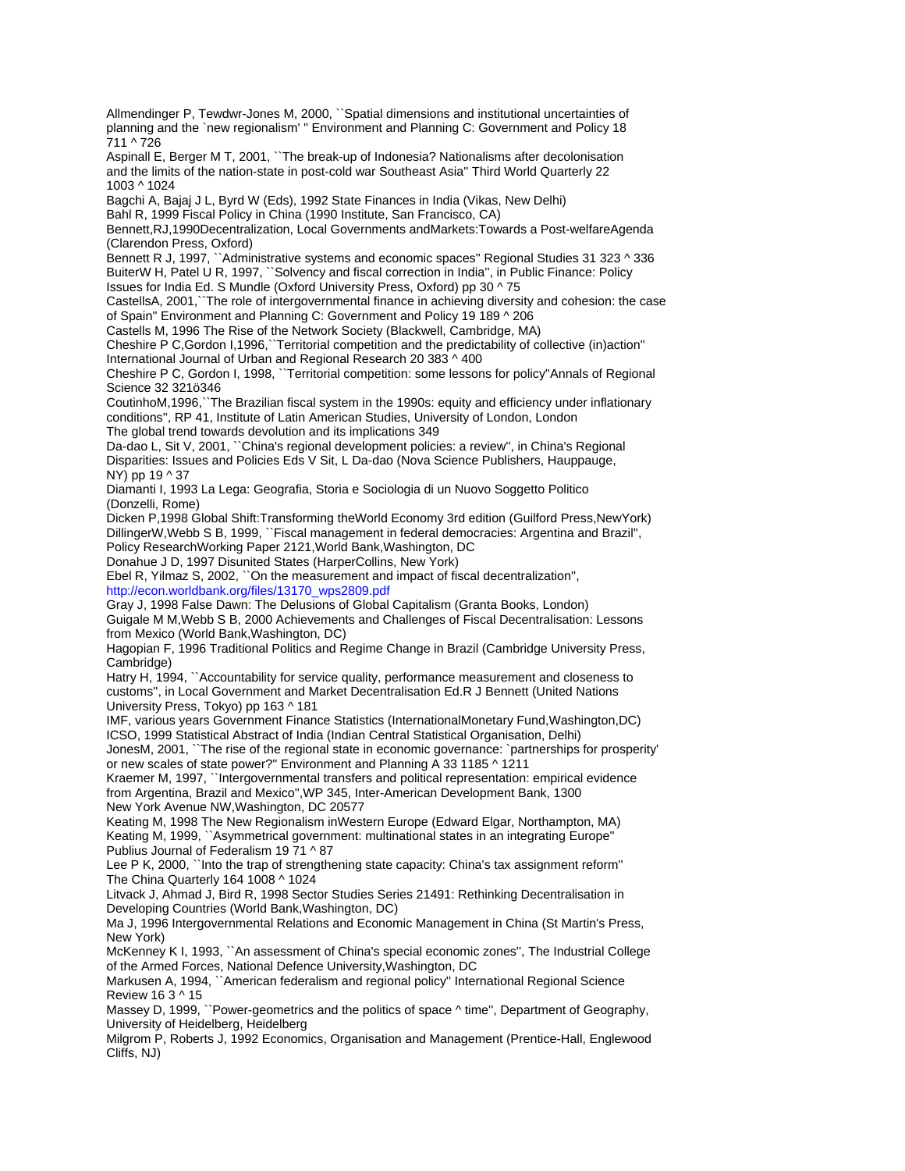Allmendinger P, Tewdwr-Jones M, 2000, ``Spatial dimensions and institutional uncertainties of planning and the `new regionalism' '' Environment and Planning C: Government and Policy 18 711 ^ 726 Aspinall E, Berger M T, 2001, ``The break-up of Indonesia? Nationalisms after decolonisation and the limits of the nation-state in post-cold war Southeast Asia'' Third World Quarterly 22 1003 ^ 1024 Bagchi A, Bajaj J L, Byrd W (Eds), 1992 State Finances in India (Vikas, New Delhi) Bahl R, 1999 Fiscal Policy in China (1990 Institute, San Francisco, CA) Bennett,RJ,1990Decentralization, Local Governments andMarkets:Towards a Post-welfareAgenda (Clarendon Press, Oxford) Bennett R J, 1997, "Administrative systems and economic spaces" Regional Studies 31 323 ^ 336 BuiterW H, Patel U R, 1997, ``Solvency and fiscal correction in India'', in Public Finance: Policy Issues for India Ed. S Mundle (Oxford University Press, Oxford) pp 30 ^ 75 CastellsA, 2001,``The role of intergovernmental finance in achieving diversity and cohesion: the case of Spain'' Environment and Planning C: Government and Policy 19 189 ^ 206 Castells M, 1996 The Rise of the Network Society (Blackwell, Cambridge, MA) Cheshire P C,Gordon I,1996,``Territorial competition and the predictability of collective (in)action'' International Journal of Urban and Regional Research 20 383 ^ 400 Cheshire P C, Gordon I, 1998, ``Territorial competition: some lessons for policy''Annals of Regional Science 32 321ö346 CoutinhoM,1996,``The Brazilian fiscal system in the 1990s: equity and efficiency under inflationary conditions'', RP 41, Institute of Latin American Studies, University of London, London The global trend towards devolution and its implications 349 Da-dao L, Sit V, 2001, ``China's regional development policies: a review'', in China's Regional Disparities: Issues and Policies Eds V Sit, L Da-dao (Nova Science Publishers, Hauppauge, NY) pp 19 ^ 37 Diamanti I, 1993 La Lega: Geografia, Storia e Sociologia di un Nuovo Soggetto Politico (Donzelli, Rome) Dicken P,1998 Global Shift:Transforming theWorld Economy 3rd edition (Guilford Press,NewYork) DillingerW,Webb S B, 1999, ``Fiscal management in federal democracies: Argentina and Brazil'', Policy ResearchWorking Paper 2121,World Bank,Washington, DC Donahue J D, 1997 Disunited States (HarperCollins, New York) Ebel R, Yilmaz S, 2002, ``On the measurement and impact of fiscal decentralization'', http://econ.worldbank.org/files/13170\_wps2809.pdf Gray J, 1998 False Dawn: The Delusions of Global Capitalism (Granta Books, London) Guigale M M,Webb S B, 2000 Achievements and Challenges of Fiscal Decentralisation: Lessons from Mexico (World Bank,Washington, DC) Hagopian F, 1996 Traditional Politics and Regime Change in Brazil (Cambridge University Press, Cambridge) Hatry H, 1994, ``Accountability for service quality, performance measurement and closeness to customs'', in Local Government and Market Decentralisation Ed.R J Bennett (United Nations University Press, Tokyo) pp 163 ^ 181 IMF, various years Government Finance Statistics (InternationalMonetary Fund,Washington,DC) ICSO, 1999 Statistical Abstract of India (Indian Central Statistical Organisation, Delhi) JonesM, 2001, ``The rise of the regional state in economic governance: `partnerships for prosperity' or new scales of state power?'' Environment and Planning A 33 1185 ^ 1211 Kraemer M, 1997, ``Intergovernmental transfers and political representation: empirical evidence from Argentina, Brazil and Mexico'',WP 345, Inter-American Development Bank, 1300 New York Avenue NW,Washington, DC 20577 Keating M, 1998 The New Regionalism inWestern Europe (Edward Elgar, Northampton, MA) Keating M, 1999, ``Asymmetrical government: multinational states in an integrating Europe'' Publius Journal of Federalism 19 71 ^ 87 Lee P K, 2000, ``Into the trap of strengthening state capacity: China's tax assignment reform'' The China Quarterly 164 1008 ^ 1024 Litvack J, Ahmad J, Bird R, 1998 Sector Studies Series 21491: Rethinking Decentralisation in Developing Countries (World Bank,Washington, DC) Ma J, 1996 Intergovernmental Relations and Economic Management in China (St Martin's Press, New York) McKenney K I, 1993, "An assessment of China's special economic zones", The Industrial College of the Armed Forces, National Defence University,Washington, DC Markusen A, 1994, ``American federalism and regional policy'' International Regional Science Review 16 3 ^ 15 Massey D, 1999, "Power-geometrics and the politics of space  $\wedge$  time", Department of Geography, University of Heidelberg, Heidelberg Milgrom P, Roberts J, 1992 Economics, Organisation and Management (Prentice-Hall, Englewood Cliffs, NJ)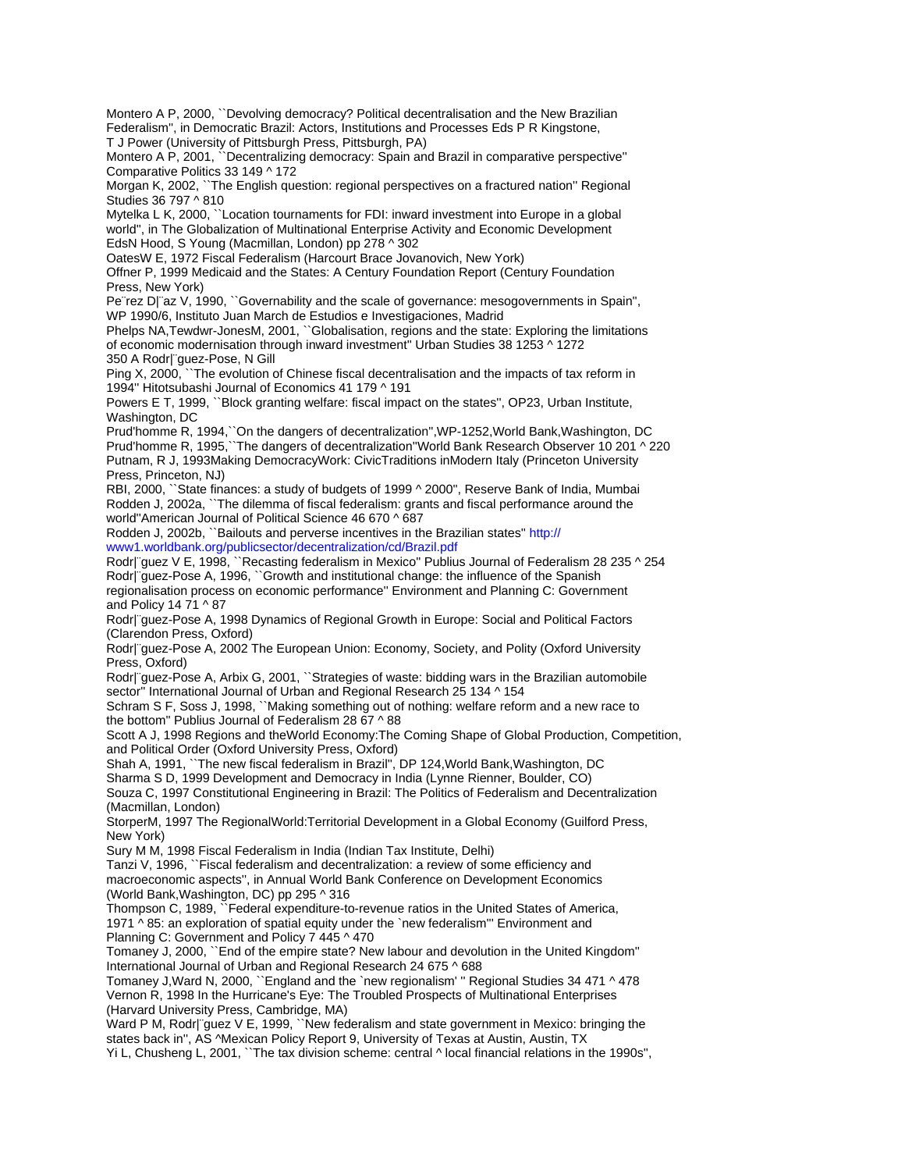Montero A P, 2000, ``Devolving democracy? Political decentralisation and the New Brazilian Federalism'', in Democratic Brazil: Actors, Institutions and Processes Eds P R Kingstone, T J Power (University of Pittsburgh Press, Pittsburgh, PA)

Montero A P, 2001, ``Decentralizing democracy: Spain and Brazil in comparative perspective'' Comparative Politics 33 149 ^ 172

Morgan K, 2002, ``The English question: regional perspectives on a fractured nation'' Regional Studies 36 797 ^ 810

Mytelka L K, 2000, ``Location tournaments for FDI: inward investment into Europe in a global world'', in The Globalization of Multinational Enterprise Activity and Economic Development EdsN Hood, S Young (Macmillan, London) pp 278 ^ 302

OatesW E, 1972 Fiscal Federalism (Harcourt Brace Jovanovich, New York)

Offner P, 1999 Medicaid and the States: A Century Foundation Report (Century Foundation Press, New York)

Pe"rez D|"az V, 1990, ``Governability and the scale of governance: mesogovernments in Spain", WP 1990/6, Instituto Juan March de Estudios e Investigaciones, Madrid

Phelps NA,Tewdwr-JonesM, 2001, ``Globalisation, regions and the state: Exploring the limitations of economic modernisation through inward investment'' Urban Studies 38 1253 ^ 1272 350 A Rodr|¨guez-Pose, N Gill

Ping X, 2000, "The evolution of Chinese fiscal decentralisation and the impacts of tax reform in 1994'' Hitotsubashi Journal of Economics 41 179 ^ 191

Powers E T, 1999, ``Block granting welfare: fiscal impact on the states'', OP23, Urban Institute, Washington, DC

Prud'homme R, 1994,``On the dangers of decentralization'',WP-1252,World Bank,Washington, DC Prud'homme R, 1995, The dangers of decentralization"World Bank Research Observer 10 201 ^ 220 Putnam, R J, 1993Making DemocracyWork: CivicTraditions inModern Italy (Princeton University Press, Princeton, NJ)

RBI, 2000, "State finances: a study of budgets of 1999 ^ 2000", Reserve Bank of India, Mumbai Rodden J, 2002a, ``The dilemma of fiscal federalism: grants and fiscal performance around the world''American Journal of Political Science 46 670 ^ 687

Rodden J, 2002b, ``Bailouts and perverse incentives in the Brazilian states'' http:// www1.worldbank.org/publicsector/decentralization/cd/Brazil.pdf

Rodr|"guez V E, 1998, ``Recasting federalism in Mexico" Publius Journal of Federalism 28 235 ^ 254 Rodr|"guez-Pose A, 1996, "Growth and institutional change: the influence of the Spanish regionalisation process on economic performance'' Environment and Planning C: Government and Policy 14 71 ^ 87

Rodr|¨guez-Pose A, 1998 Dynamics of Regional Growth in Europe: Social and Political Factors (Clarendon Press, Oxford)

Rodr|¨guez-Pose A, 2002 The European Union: Economy, Society, and Polity (Oxford University Press, Oxford)

Rodr|¨guez-Pose A, Arbix G, 2001, ``Strategies of waste: bidding wars in the Brazilian automobile sector'' International Journal of Urban and Regional Research 25 134 ^ 154

Schram S F, Soss J, 1998, ``Making something out of nothing: welfare reform and a new race to the bottom'' Publius Journal of Federalism 28 67 ^ 88

Scott A J, 1998 Regions and theWorld Economy:The Coming Shape of Global Production, Competition, and Political Order (Oxford University Press, Oxford)

Shah A, 1991, ``The new fiscal federalism in Brazil'', DP 124,World Bank,Washington, DC Sharma S D, 1999 Development and Democracy in India (Lynne Rienner, Boulder, CO)

Souza C, 1997 Constitutional Engineering in Brazil: The Politics of Federalism and Decentralization (Macmillan, London)

StorperM, 1997 The RegionalWorld:Territorial Development in a Global Economy (Guilford Press, New York)

Sury M M, 1998 Fiscal Federalism in India (Indian Tax Institute, Delhi)

Tanzi V, 1996, ``Fiscal federalism and decentralization: a review of some efficiency and macroeconomic aspects'', in Annual World Bank Conference on Development Economics (World Bank,Washington, DC) pp 295 ^ 316

Thompson C, 1989, ``Federal expenditure-to-revenue ratios in the United States of America, 1971 ^ 85: an exploration of spatial equity under the `new federalism''' Environment and Planning C: Government and Policy 7 445 ^ 470

Tomaney J, 2000, ``End of the empire state? New labour and devolution in the United Kingdom'' International Journal of Urban and Regional Research 24 675 ^ 688

Tomaney J,Ward N, 2000, ``England and the `new regionalism' '' Regional Studies 34 471 ^ 478 Vernon R, 1998 In the Hurricane's Eye: The Troubled Prospects of Multinational Enterprises (Harvard University Press, Cambridge, MA)

Ward P M, Rodr|"guez V E, 1999, ``New federalism and state government in Mexico: bringing the states back in'', AS ^Mexican Policy Report 9, University of Texas at Austin, Austin, TX

Yi L, Chusheng L, 2001, "The tax division scheme: central ^ local financial relations in the 1990s",